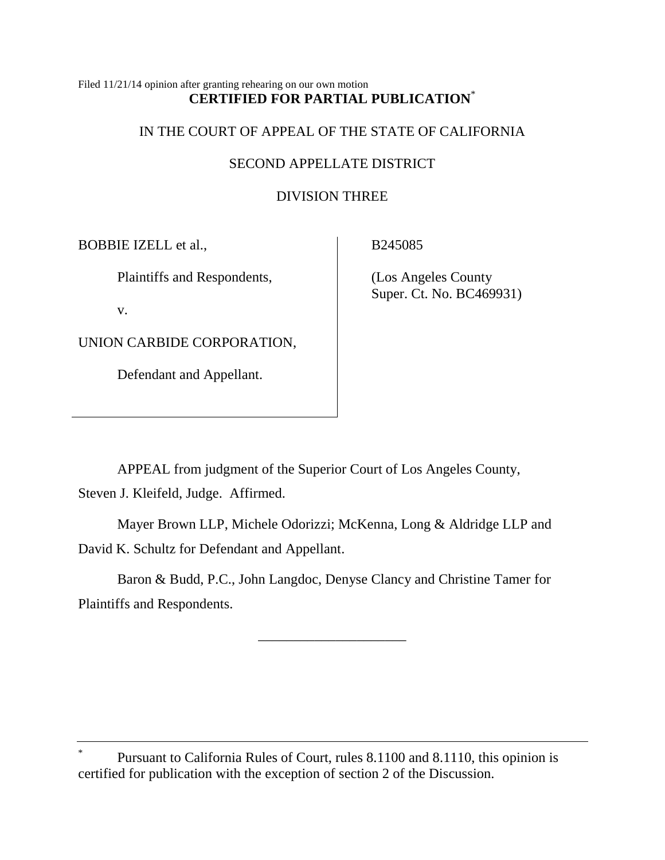## Filed 11/21/14 opinion after granting rehearing on our own motion **CERTIFIED FOR PARTIAL PUBLICATION**\*

## IN THE COURT OF APPEAL OF THE STATE OF CALIFORNIA

## SECOND APPELLATE DISTRICT

# DIVISION THREE

BOBBIE IZELL et al.,

Plaintiffs and Respondents,

v.

UNION CARBIDE CORPORATION,

Defendant and Appellant.

B245085

(Los Angeles County Super. Ct. No. BC469931)

APPEAL from judgment of the Superior Court of Los Angeles County, Steven J. Kleifeld, Judge. Affirmed.

Mayer Brown LLP, Michele Odorizzi; McKenna, Long & Aldridge LLP and David K. Schultz for Defendant and Appellant.

Baron & Budd, P.C., John Langdoc, Denyse Clancy and Christine Tamer for Plaintiffs and Respondents.

\_\_\_\_\_\_\_\_\_\_\_\_\_\_\_\_\_\_\_\_\_

\* Pursuant to California Rules of Court, rules 8.1100 and 8.1110, this opinion is certified for publication with the exception of section 2 of the Discussion.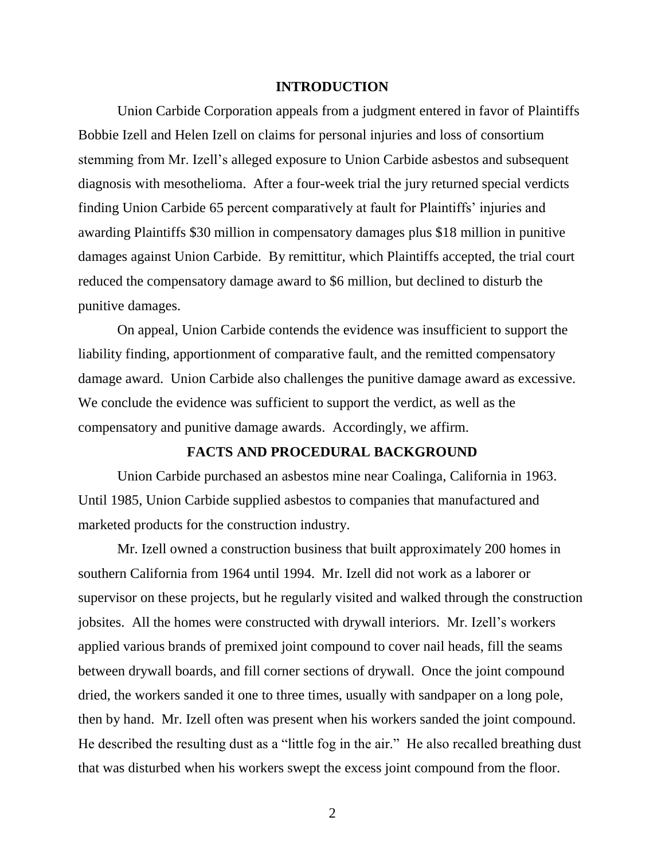### **INTRODUCTION**

Union Carbide Corporation appeals from a judgment entered in favor of Plaintiffs Bobbie Izell and Helen Izell on claims for personal injuries and loss of consortium stemming from Mr. Izell's alleged exposure to Union Carbide asbestos and subsequent diagnosis with mesothelioma. After a four-week trial the jury returned special verdicts finding Union Carbide 65 percent comparatively at fault for Plaintiffs' injuries and awarding Plaintiffs \$30 million in compensatory damages plus \$18 million in punitive damages against Union Carbide. By remittitur, which Plaintiffs accepted, the trial court reduced the compensatory damage award to \$6 million, but declined to disturb the punitive damages.

On appeal, Union Carbide contends the evidence was insufficient to support the liability finding, apportionment of comparative fault, and the remitted compensatory damage award. Union Carbide also challenges the punitive damage award as excessive. We conclude the evidence was sufficient to support the verdict, as well as the compensatory and punitive damage awards. Accordingly, we affirm.

## **FACTS AND PROCEDURAL BACKGROUND**

Union Carbide purchased an asbestos mine near Coalinga, California in 1963. Until 1985, Union Carbide supplied asbestos to companies that manufactured and marketed products for the construction industry.

Mr. Izell owned a construction business that built approximately 200 homes in southern California from 1964 until 1994. Mr. Izell did not work as a laborer or supervisor on these projects, but he regularly visited and walked through the construction jobsites. All the homes were constructed with drywall interiors. Mr. Izell's workers applied various brands of premixed joint compound to cover nail heads, fill the seams between drywall boards, and fill corner sections of drywall. Once the joint compound dried, the workers sanded it one to three times, usually with sandpaper on a long pole, then by hand. Mr. Izell often was present when his workers sanded the joint compound. He described the resulting dust as a "little fog in the air." He also recalled breathing dust that was disturbed when his workers swept the excess joint compound from the floor.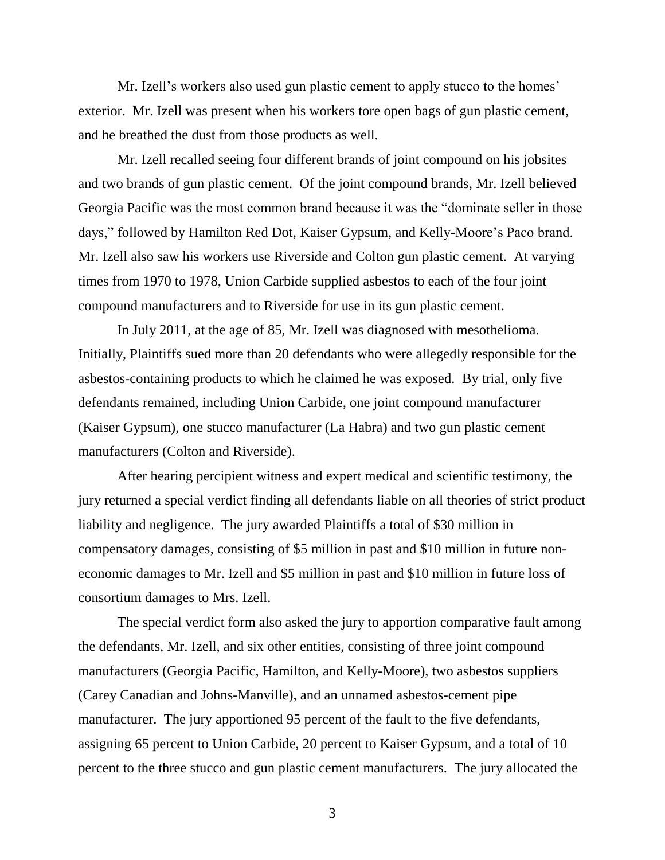Mr. Izell's workers also used gun plastic cement to apply stucco to the homes' exterior. Mr. Izell was present when his workers tore open bags of gun plastic cement, and he breathed the dust from those products as well.

Mr. Izell recalled seeing four different brands of joint compound on his jobsites and two brands of gun plastic cement. Of the joint compound brands, Mr. Izell believed Georgia Pacific was the most common brand because it was the "dominate seller in those days," followed by Hamilton Red Dot, Kaiser Gypsum, and Kelly-Moore's Paco brand. Mr. Izell also saw his workers use Riverside and Colton gun plastic cement. At varying times from 1970 to 1978, Union Carbide supplied asbestos to each of the four joint compound manufacturers and to Riverside for use in its gun plastic cement.

In July 2011, at the age of 85, Mr. Izell was diagnosed with mesothelioma. Initially, Plaintiffs sued more than 20 defendants who were allegedly responsible for the asbestos-containing products to which he claimed he was exposed. By trial, only five defendants remained, including Union Carbide, one joint compound manufacturer (Kaiser Gypsum), one stucco manufacturer (La Habra) and two gun plastic cement manufacturers (Colton and Riverside).

After hearing percipient witness and expert medical and scientific testimony, the jury returned a special verdict finding all defendants liable on all theories of strict product liability and negligence. The jury awarded Plaintiffs a total of \$30 million in compensatory damages, consisting of \$5 million in past and \$10 million in future noneconomic damages to Mr. Izell and \$5 million in past and \$10 million in future loss of consortium damages to Mrs. Izell.

The special verdict form also asked the jury to apportion comparative fault among the defendants, Mr. Izell, and six other entities, consisting of three joint compound manufacturers (Georgia Pacific, Hamilton, and Kelly-Moore), two asbestos suppliers (Carey Canadian and Johns-Manville), and an unnamed asbestos-cement pipe manufacturer. The jury apportioned 95 percent of the fault to the five defendants, assigning 65 percent to Union Carbide, 20 percent to Kaiser Gypsum, and a total of 10 percent to the three stucco and gun plastic cement manufacturers. The jury allocated the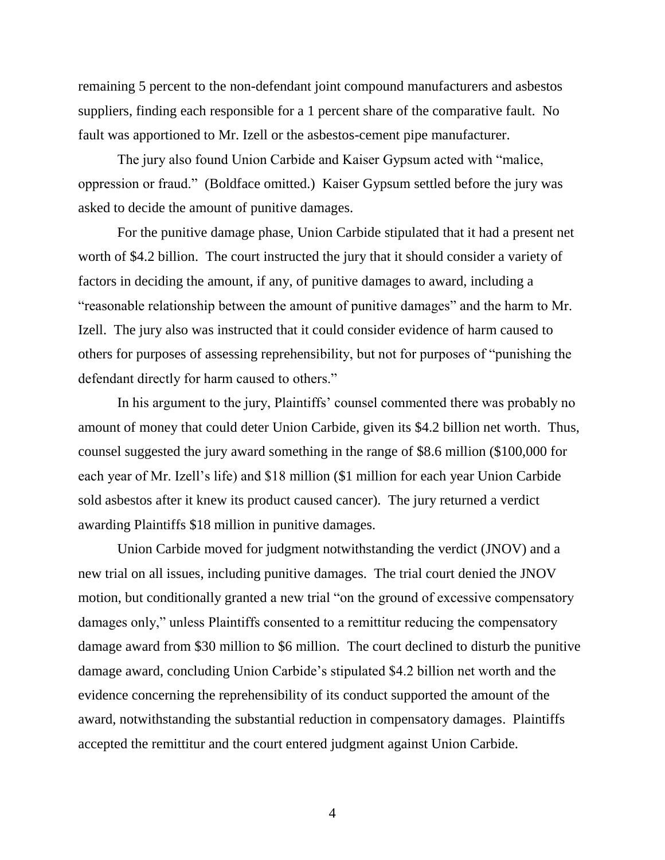remaining 5 percent to the non-defendant joint compound manufacturers and asbestos suppliers, finding each responsible for a 1 percent share of the comparative fault. No fault was apportioned to Mr. Izell or the asbestos-cement pipe manufacturer.

The jury also found Union Carbide and Kaiser Gypsum acted with "malice, oppression or fraud." (Boldface omitted.) Kaiser Gypsum settled before the jury was asked to decide the amount of punitive damages.

For the punitive damage phase, Union Carbide stipulated that it had a present net worth of \$4.2 billion. The court instructed the jury that it should consider a variety of factors in deciding the amount, if any, of punitive damages to award, including a "reasonable relationship between the amount of punitive damages" and the harm to Mr. Izell. The jury also was instructed that it could consider evidence of harm caused to others for purposes of assessing reprehensibility, but not for purposes of "punishing the defendant directly for harm caused to others."

In his argument to the jury, Plaintiffs' counsel commented there was probably no amount of money that could deter Union Carbide, given its \$4.2 billion net worth. Thus, counsel suggested the jury award something in the range of \$8.6 million (\$100,000 for each year of Mr. Izell's life) and \$18 million (\$1 million for each year Union Carbide sold asbestos after it knew its product caused cancer). The jury returned a verdict awarding Plaintiffs \$18 million in punitive damages.

Union Carbide moved for judgment notwithstanding the verdict (JNOV) and a new trial on all issues, including punitive damages. The trial court denied the JNOV motion, but conditionally granted a new trial "on the ground of excessive compensatory damages only," unless Plaintiffs consented to a remittitur reducing the compensatory damage award from \$30 million to \$6 million. The court declined to disturb the punitive damage award, concluding Union Carbide's stipulated \$4.2 billion net worth and the evidence concerning the reprehensibility of its conduct supported the amount of the award, notwithstanding the substantial reduction in compensatory damages. Plaintiffs accepted the remittitur and the court entered judgment against Union Carbide.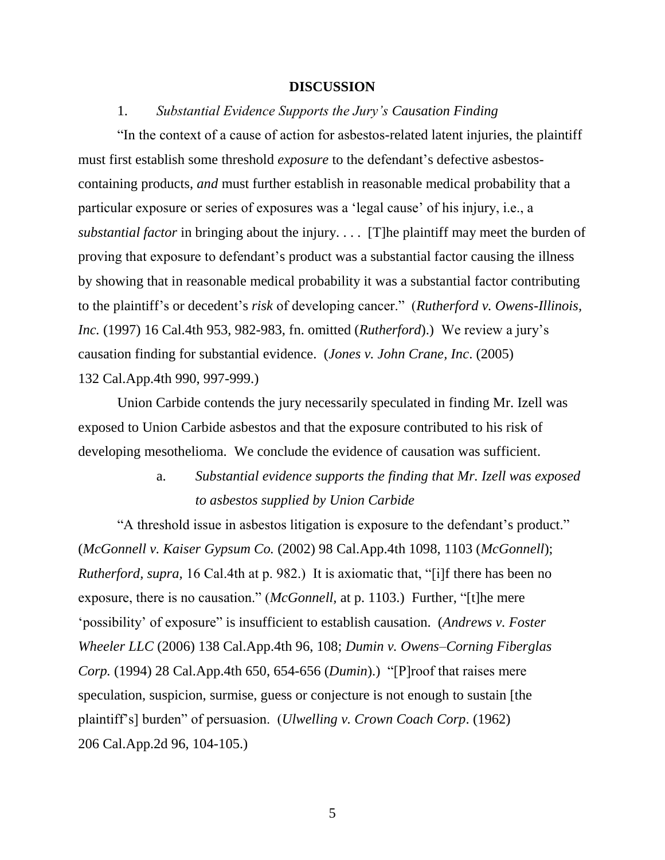#### **DISCUSSION**

### 1. *Substantial Evidence Supports the Jury's Causation Finding*

"In the context of a cause of action for asbestos-related latent injuries, the plaintiff must first establish some threshold *exposure* to the defendant's defective asbestoscontaining products, *and* must further establish in reasonable medical probability that a particular exposure or series of exposures was a 'legal cause' of his injury, i.e., a *substantial factor* in bringing about the injury. . . . [T]he plaintiff may meet the burden of proving that exposure to defendant's product was a substantial factor causing the illness by showing that in reasonable medical probability it was a substantial factor contributing to the plaintiff's or decedent's *risk* of developing cancer." (*Rutherford v. Owens-Illinois, Inc.* (1997) 16 Cal.4th 953, 982-983, fn. omitted (*Rutherford*).) We review a jury's causation finding for substantial evidence. (*Jones v. John Crane, Inc*. (2005) 132 Cal.App.4th 990, 997-999.)

Union Carbide contends the jury necessarily speculated in finding Mr. Izell was exposed to Union Carbide asbestos and that the exposure contributed to his risk of developing mesothelioma. We conclude the evidence of causation was sufficient.

# a. *Substantial evidence supports the finding that Mr. Izell was exposed to asbestos supplied by Union Carbide*

"A threshold issue in asbestos litigation is exposure to the defendant's product." (*McGonnell v. Kaiser Gypsum Co.* (2002) 98 Cal.App.4th 1098, 1103 (*McGonnell*); *Rutherford, supra,* 16 Cal.4th at p. 982.) It is axiomatic that, "[i]f there has been no exposure, there is no causation." (*McGonnell,* at p. 1103.) Further, "[t]he mere 'possibility' of exposure" is insufficient to establish causation. (*Andrews v. Foster Wheeler LLC* (2006) 138 Cal.App.4th 96, 108; *Dumin v. Owens–Corning Fiberglas Corp.* (1994) 28 Cal.App.4th 650, 654-656 (*Dumin*).) "[P]roof that raises mere speculation, suspicion, surmise, guess or conjecture is not enough to sustain [the plaintiff's] burden" of persuasion. (*Ulwelling v. Crown Coach Corp*. (1962) 206 Cal.App.2d 96, 104-105.)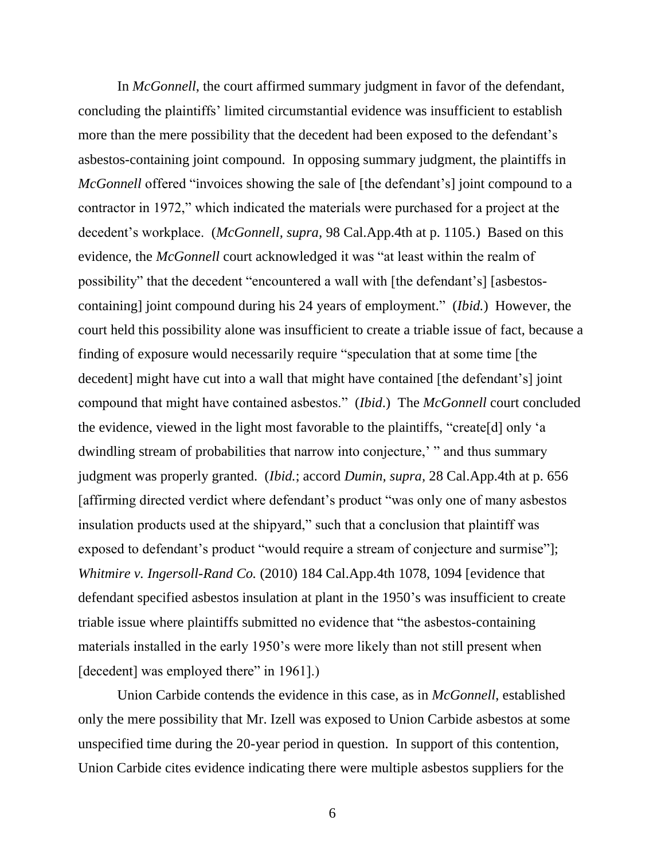In *McGonnell*, the court affirmed summary judgment in favor of the defendant, concluding the plaintiffs' limited circumstantial evidence was insufficient to establish more than the mere possibility that the decedent had been exposed to the defendant's asbestos-containing joint compound. In opposing summary judgment, the plaintiffs in *McGonnell* offered "invoices showing the sale of [the defendant's] joint compound to a contractor in 1972," which indicated the materials were purchased for a project at the decedent's workplace. (*McGonnell, supra,* 98 Cal.App.4th at p. 1105.) Based on this evidence, the *McGonnell* court acknowledged it was "at least within the realm of possibility" that the decedent "encountered a wall with [the defendant's] [asbestoscontaining] joint compound during his 24 years of employment." (*Ibid.*) However, the court held this possibility alone was insufficient to create a triable issue of fact, because a finding of exposure would necessarily require "speculation that at some time [the decedent] might have cut into a wall that might have contained [the defendant's] joint compound that might have contained asbestos." (*Ibid*.) The *McGonnell* court concluded the evidence, viewed in the light most favorable to the plaintiffs, "create[d] only 'a dwindling stream of probabilities that narrow into conjecture,' " and thus summary judgment was properly granted. (*Ibid.*; accord *Dumin, supra,* 28 Cal.App.4th at p. 656 [affirming directed verdict where defendant's product "was only one of many asbestos insulation products used at the shipyard," such that a conclusion that plaintiff was exposed to defendant's product "would require a stream of conjecture and surmise"]; *Whitmire v. Ingersoll-Rand Co.* (2010) 184 Cal.App.4th 1078, 1094 [evidence that defendant specified asbestos insulation at plant in the 1950's was insufficient to create triable issue where plaintiffs submitted no evidence that "the asbestos-containing materials installed in the early 1950's were more likely than not still present when [decedent] was employed there" in 1961].)

Union Carbide contends the evidence in this case, as in *McGonnell*, established only the mere possibility that Mr. Izell was exposed to Union Carbide asbestos at some unspecified time during the 20-year period in question. In support of this contention, Union Carbide cites evidence indicating there were multiple asbestos suppliers for the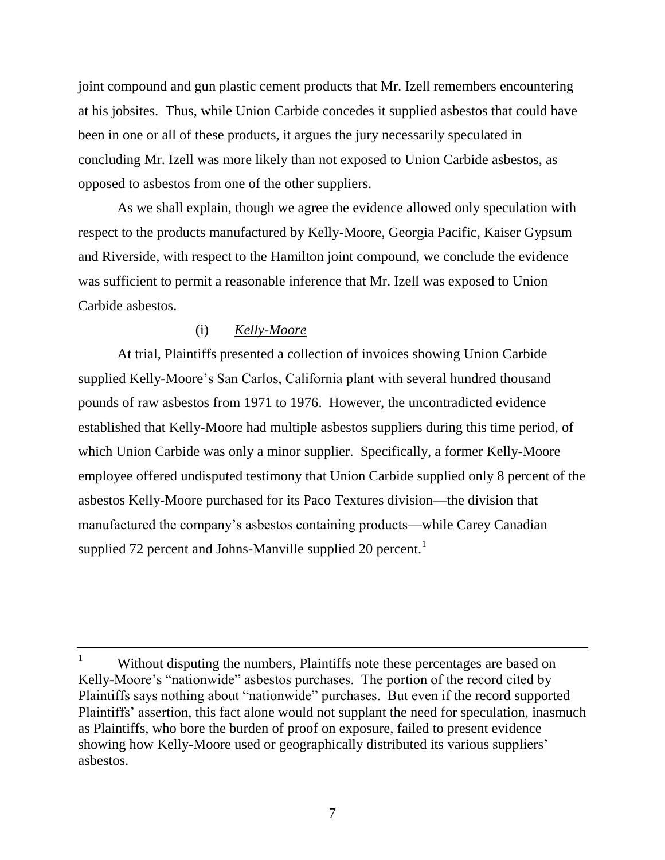joint compound and gun plastic cement products that Mr. Izell remembers encountering at his jobsites. Thus, while Union Carbide concedes it supplied asbestos that could have been in one or all of these products, it argues the jury necessarily speculated in concluding Mr. Izell was more likely than not exposed to Union Carbide asbestos, as opposed to asbestos from one of the other suppliers.

As we shall explain, though we agree the evidence allowed only speculation with respect to the products manufactured by Kelly-Moore, Georgia Pacific, Kaiser Gypsum and Riverside, with respect to the Hamilton joint compound, we conclude the evidence was sufficient to permit a reasonable inference that Mr. Izell was exposed to Union Carbide asbestos.

## (i) *Kelly-Moore*

At trial, Plaintiffs presented a collection of invoices showing Union Carbide supplied Kelly-Moore's San Carlos, California plant with several hundred thousand pounds of raw asbestos from 1971 to 1976. However, the uncontradicted evidence established that Kelly-Moore had multiple asbestos suppliers during this time period, of which Union Carbide was only a minor supplier. Specifically, a former Kelly-Moore employee offered undisputed testimony that Union Carbide supplied only 8 percent of the asbestos Kelly-Moore purchased for its Paco Textures division—the division that manufactured the company's asbestos containing products—while Carey Canadian supplied 72 percent and Johns-Manville supplied 20 percent.<sup>1</sup>

Without disputing the numbers, Plaintiffs note these percentages are based on Kelly-Moore's "nationwide" asbestos purchases. The portion of the record cited by Plaintiffs says nothing about "nationwide" purchases. But even if the record supported Plaintiffs' assertion, this fact alone would not supplant the need for speculation, inasmuch as Plaintiffs, who bore the burden of proof on exposure, failed to present evidence showing how Kelly-Moore used or geographically distributed its various suppliers' asbestos.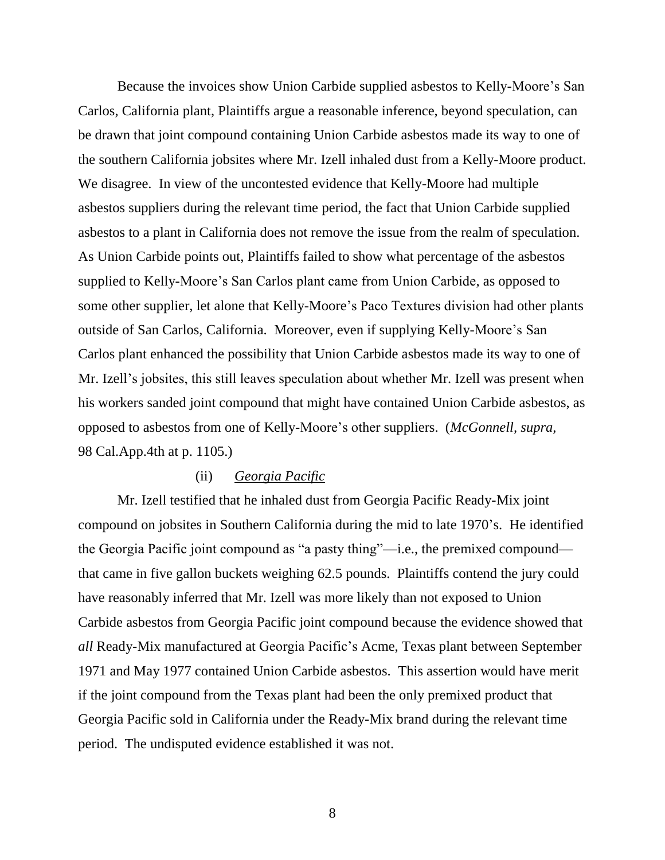Because the invoices show Union Carbide supplied asbestos to Kelly-Moore's San Carlos, California plant, Plaintiffs argue a reasonable inference, beyond speculation, can be drawn that joint compound containing Union Carbide asbestos made its way to one of the southern California jobsites where Mr. Izell inhaled dust from a Kelly-Moore product. We disagree. In view of the uncontested evidence that Kelly-Moore had multiple asbestos suppliers during the relevant time period, the fact that Union Carbide supplied asbestos to a plant in California does not remove the issue from the realm of speculation. As Union Carbide points out, Plaintiffs failed to show what percentage of the asbestos supplied to Kelly-Moore's San Carlos plant came from Union Carbide, as opposed to some other supplier, let alone that Kelly-Moore's Paco Textures division had other plants outside of San Carlos, California. Moreover, even if supplying Kelly-Moore's San Carlos plant enhanced the possibility that Union Carbide asbestos made its way to one of Mr. Izell's jobsites, this still leaves speculation about whether Mr. Izell was present when his workers sanded joint compound that might have contained Union Carbide asbestos, as opposed to asbestos from one of Kelly-Moore's other suppliers. (*McGonnell, supra,*  98 Cal.App.4th at p. 1105.)

## (ii) *Georgia Pacific*

Mr. Izell testified that he inhaled dust from Georgia Pacific Ready-Mix joint compound on jobsites in Southern California during the mid to late 1970's. He identified the Georgia Pacific joint compound as "a pasty thing"—i.e., the premixed compound that came in five gallon buckets weighing 62.5 pounds. Plaintiffs contend the jury could have reasonably inferred that Mr. Izell was more likely than not exposed to Union Carbide asbestos from Georgia Pacific joint compound because the evidence showed that *all* Ready-Mix manufactured at Georgia Pacific's Acme, Texas plant between September 1971 and May 1977 contained Union Carbide asbestos. This assertion would have merit if the joint compound from the Texas plant had been the only premixed product that Georgia Pacific sold in California under the Ready-Mix brand during the relevant time period. The undisputed evidence established it was not.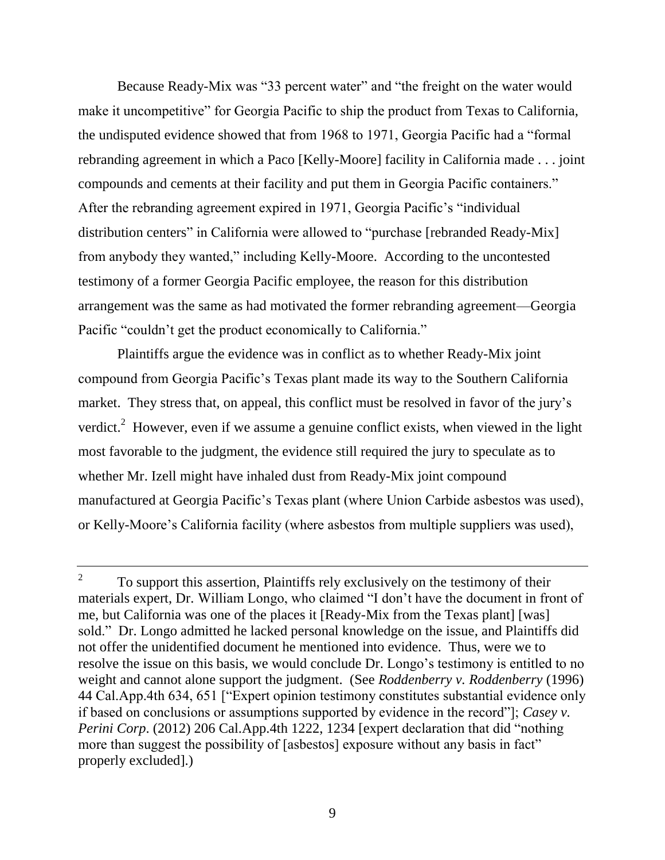Because Ready-Mix was "33 percent water" and "the freight on the water would make it uncompetitive" for Georgia Pacific to ship the product from Texas to California, the undisputed evidence showed that from 1968 to 1971, Georgia Pacific had a "formal rebranding agreement in which a Paco [Kelly-Moore] facility in California made . . . joint compounds and cements at their facility and put them in Georgia Pacific containers." After the rebranding agreement expired in 1971, Georgia Pacific's "individual distribution centers" in California were allowed to "purchase [rebranded Ready-Mix] from anybody they wanted," including Kelly-Moore. According to the uncontested testimony of a former Georgia Pacific employee, the reason for this distribution arrangement was the same as had motivated the former rebranding agreement—Georgia Pacific "couldn't get the product economically to California."

Plaintiffs argue the evidence was in conflict as to whether Ready-Mix joint compound from Georgia Pacific's Texas plant made its way to the Southern California market. They stress that, on appeal, this conflict must be resolved in favor of the jury's verdict.<sup>2</sup> However, even if we assume a genuine conflict exists, when viewed in the light most favorable to the judgment, the evidence still required the jury to speculate as to whether Mr. Izell might have inhaled dust from Ready-Mix joint compound manufactured at Georgia Pacific's Texas plant (where Union Carbide asbestos was used), or Kelly-Moore's California facility (where asbestos from multiple suppliers was used),

<sup>2</sup> To support this assertion, Plaintiffs rely exclusively on the testimony of their materials expert, Dr. William Longo, who claimed "I don't have the document in front of me, but California was one of the places it [Ready-Mix from the Texas plant] [was] sold." Dr. Longo admitted he lacked personal knowledge on the issue, and Plaintiffs did not offer the unidentified document he mentioned into evidence. Thus, were we to resolve the issue on this basis, we would conclude Dr. Longo's testimony is entitled to no weight and cannot alone support the judgment. (See *Roddenberry v. Roddenberry* (1996) 44 Cal.App.4th 634, 651 ["Expert opinion testimony constitutes substantial evidence only if based on conclusions or assumptions supported by evidence in the record"]; *Casey v. Perini Corp.* (2012) 206 Cal.App.4th 1222, 1234 [expert declaration that did "nothing more than suggest the possibility of [asbestos] exposure without any basis in fact" properly excluded].)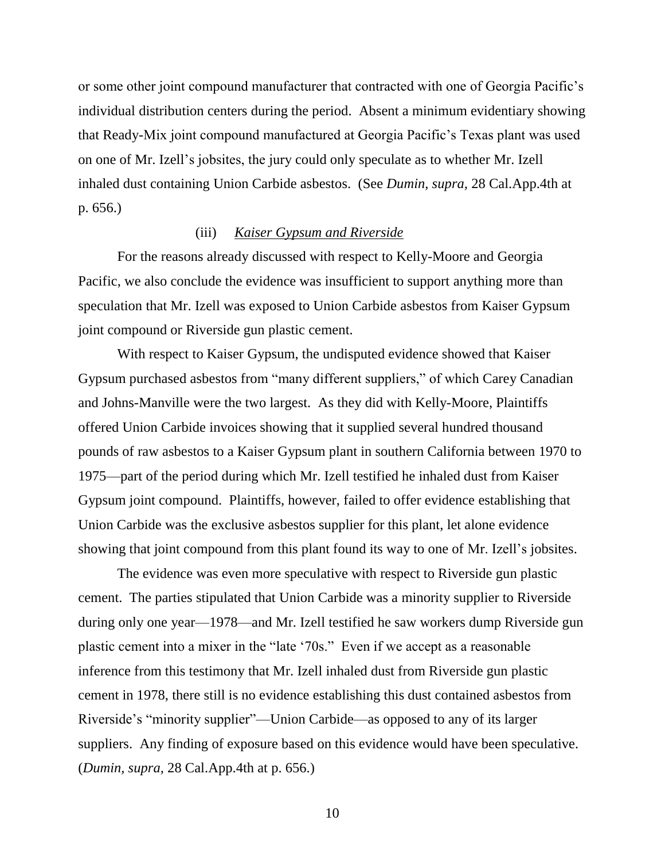or some other joint compound manufacturer that contracted with one of Georgia Pacific's individual distribution centers during the period. Absent a minimum evidentiary showing that Ready-Mix joint compound manufactured at Georgia Pacific's Texas plant was used on one of Mr. Izell's jobsites, the jury could only speculate as to whether Mr. Izell inhaled dust containing Union Carbide asbestos. (See *Dumin, supra,* 28 Cal.App.4th at p. 656.)

### (iii) *Kaiser Gypsum and Riverside*

For the reasons already discussed with respect to Kelly-Moore and Georgia Pacific, we also conclude the evidence was insufficient to support anything more than speculation that Mr. Izell was exposed to Union Carbide asbestos from Kaiser Gypsum joint compound or Riverside gun plastic cement.

With respect to Kaiser Gypsum, the undisputed evidence showed that Kaiser Gypsum purchased asbestos from "many different suppliers," of which Carey Canadian and Johns-Manville were the two largest. As they did with Kelly-Moore, Plaintiffs offered Union Carbide invoices showing that it supplied several hundred thousand pounds of raw asbestos to a Kaiser Gypsum plant in southern California between 1970 to 1975—part of the period during which Mr. Izell testified he inhaled dust from Kaiser Gypsum joint compound. Plaintiffs, however, failed to offer evidence establishing that Union Carbide was the exclusive asbestos supplier for this plant, let alone evidence showing that joint compound from this plant found its way to one of Mr. Izell's jobsites.

The evidence was even more speculative with respect to Riverside gun plastic cement. The parties stipulated that Union Carbide was a minority supplier to Riverside during only one year—1978—and Mr. Izell testified he saw workers dump Riverside gun plastic cement into a mixer in the "late '70s." Even if we accept as a reasonable inference from this testimony that Mr. Izell inhaled dust from Riverside gun plastic cement in 1978, there still is no evidence establishing this dust contained asbestos from Riverside's "minority supplier"—Union Carbide—as opposed to any of its larger suppliers. Any finding of exposure based on this evidence would have been speculative. (*Dumin, supra,* 28 Cal.App.4th at p. 656.)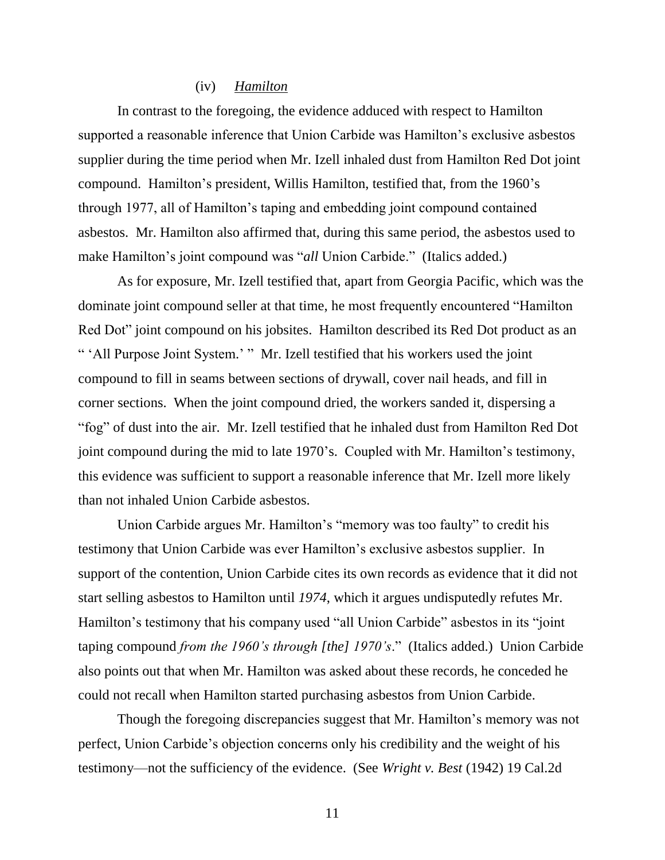#### (iv) *Hamilton*

In contrast to the foregoing, the evidence adduced with respect to Hamilton supported a reasonable inference that Union Carbide was Hamilton's exclusive asbestos supplier during the time period when Mr. Izell inhaled dust from Hamilton Red Dot joint compound. Hamilton's president, Willis Hamilton, testified that, from the 1960's through 1977, all of Hamilton's taping and embedding joint compound contained asbestos. Mr. Hamilton also affirmed that, during this same period, the asbestos used to make Hamilton's joint compound was "*all* Union Carbide." (Italics added.)

As for exposure, Mr. Izell testified that, apart from Georgia Pacific, which was the dominate joint compound seller at that time, he most frequently encountered "Hamilton Red Dot" joint compound on his jobsites. Hamilton described its Red Dot product as an " 'All Purpose Joint System.' " Mr. Izell testified that his workers used the joint compound to fill in seams between sections of drywall, cover nail heads, and fill in corner sections. When the joint compound dried, the workers sanded it, dispersing a "fog" of dust into the air. Mr. Izell testified that he inhaled dust from Hamilton Red Dot joint compound during the mid to late 1970's. Coupled with Mr. Hamilton's testimony, this evidence was sufficient to support a reasonable inference that Mr. Izell more likely than not inhaled Union Carbide asbestos.

Union Carbide argues Mr. Hamilton's "memory was too faulty" to credit his testimony that Union Carbide was ever Hamilton's exclusive asbestos supplier. In support of the contention, Union Carbide cites its own records as evidence that it did not start selling asbestos to Hamilton until *1974*, which it argues undisputedly refutes Mr. Hamilton's testimony that his company used "all Union Carbide" asbestos in its "joint taping compound *from the 1960's through [the] 1970's*." (Italics added.) Union Carbide also points out that when Mr. Hamilton was asked about these records, he conceded he could not recall when Hamilton started purchasing asbestos from Union Carbide.

Though the foregoing discrepancies suggest that Mr. Hamilton's memory was not perfect, Union Carbide's objection concerns only his credibility and the weight of his testimony—not the sufficiency of the evidence. (See *Wright v. Best* (1942) 19 Cal.2d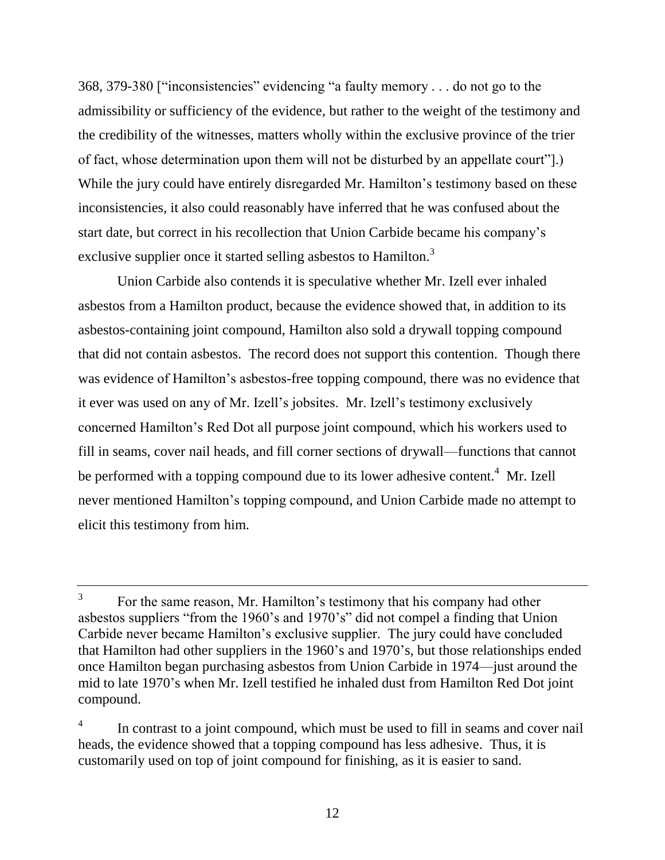368, 379-380 ["inconsistencies" evidencing "a faulty memory . . . do not go to the admissibility or sufficiency of the evidence, but rather to the weight of the testimony and the credibility of the witnesses, matters wholly within the exclusive province of the trier of fact, whose determination upon them will not be disturbed by an appellate court"].) While the jury could have entirely disregarded Mr. Hamilton's testimony based on these inconsistencies, it also could reasonably have inferred that he was confused about the start date, but correct in his recollection that Union Carbide became his company's exclusive supplier once it started selling asbestos to Hamilton.<sup>3</sup>

Union Carbide also contends it is speculative whether Mr. Izell ever inhaled asbestos from a Hamilton product, because the evidence showed that, in addition to its asbestos-containing joint compound, Hamilton also sold a drywall topping compound that did not contain asbestos. The record does not support this contention. Though there was evidence of Hamilton's asbestos-free topping compound, there was no evidence that it ever was used on any of Mr. Izell's jobsites. Mr. Izell's testimony exclusively concerned Hamilton's Red Dot all purpose joint compound, which his workers used to fill in seams, cover nail heads, and fill corner sections of drywall—functions that cannot be performed with a topping compound due to its lower adhesive content.<sup>4</sup> Mr. Izell never mentioned Hamilton's topping compound, and Union Carbide made no attempt to elicit this testimony from him.

<sup>3</sup> For the same reason, Mr. Hamilton's testimony that his company had other asbestos suppliers "from the 1960's and 1970's" did not compel a finding that Union Carbide never became Hamilton's exclusive supplier. The jury could have concluded that Hamilton had other suppliers in the 1960's and 1970's, but those relationships ended once Hamilton began purchasing asbestos from Union Carbide in 1974—just around the mid to late 1970's when Mr. Izell testified he inhaled dust from Hamilton Red Dot joint compound.

<sup>4</sup> In contrast to a joint compound, which must be used to fill in seams and cover nail heads, the evidence showed that a topping compound has less adhesive. Thus, it is customarily used on top of joint compound for finishing, as it is easier to sand.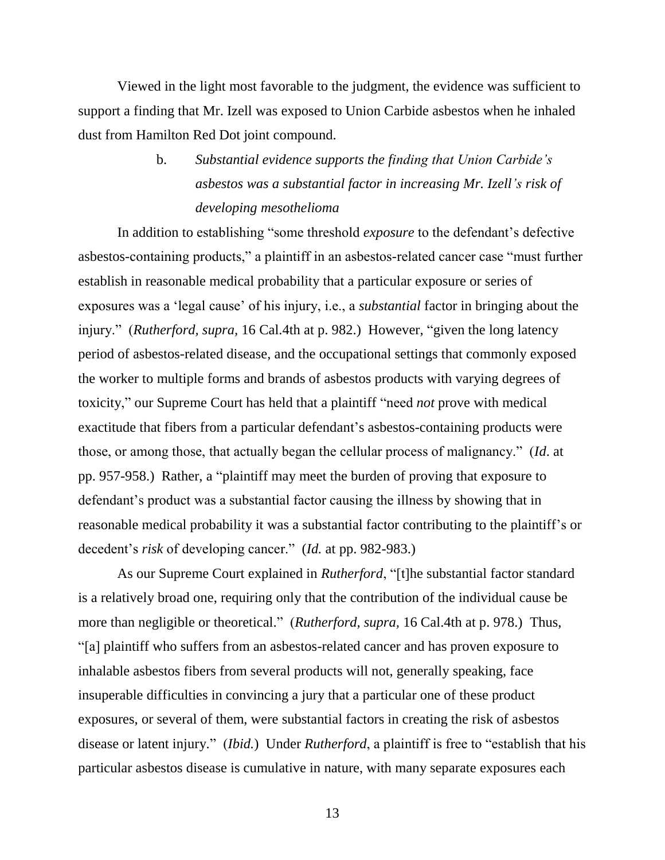Viewed in the light most favorable to the judgment, the evidence was sufficient to support a finding that Mr. Izell was exposed to Union Carbide asbestos when he inhaled dust from Hamilton Red Dot joint compound.

> b. *Substantial evidence supports the finding that Union Carbide's asbestos was a substantial factor in increasing Mr. Izell's risk of developing mesothelioma*

In addition to establishing "some threshold *exposure* to the defendant's defective asbestos-containing products," a plaintiff in an asbestos-related cancer case "must further establish in reasonable medical probability that a particular exposure or series of exposures was a 'legal cause' of his injury, i.e., a *substantial* factor in bringing about the injury." (*Rutherford, supra,* 16 Cal.4th at p. 982.) However, "given the long latency period of asbestos-related disease, and the occupational settings that commonly exposed the worker to multiple forms and brands of asbestos products with varying degrees of toxicity," our Supreme Court has held that a plaintiff "need *not* prove with medical exactitude that fibers from a particular defendant's asbestos-containing products were those, or among those, that actually began the cellular process of malignancy." (*Id*. at pp. 957-958.) Rather, a "plaintiff may meet the burden of proving that exposure to defendant's product was a substantial factor causing the illness by showing that in reasonable medical probability it was a substantial factor contributing to the plaintiff's or decedent's *risk* of developing cancer." (*Id.* at pp. 982-983.)

As our Supreme Court explained in *Rutherford*, "[t]he substantial factor standard is a relatively broad one, requiring only that the contribution of the individual cause be more than negligible or theoretical." (*Rutherford, supra,* 16 Cal.4th at p. 978.) Thus, "[a] plaintiff who suffers from an asbestos-related cancer and has proven exposure to inhalable asbestos fibers from several products will not, generally speaking, face insuperable difficulties in convincing a jury that a particular one of these product exposures, or several of them, were substantial factors in creating the risk of asbestos disease or latent injury." (*Ibid.*) Under *Rutherford*, a plaintiff is free to "establish that his particular asbestos disease is cumulative in nature, with many separate exposures each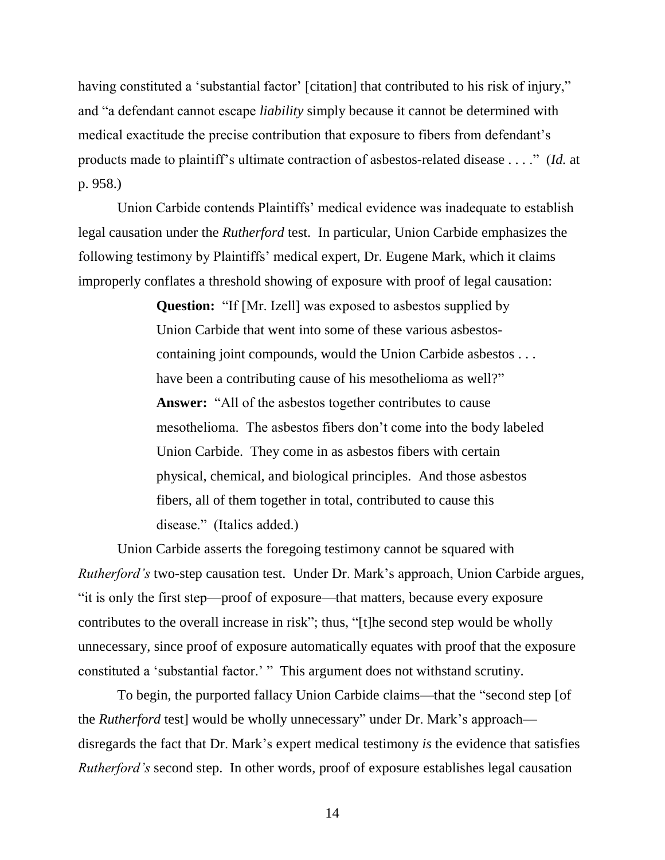having constituted a 'substantial factor' [citation] that contributed to his risk of injury," and "a defendant cannot escape *liability* simply because it cannot be determined with medical exactitude the precise contribution that exposure to fibers from defendant's products made to plaintiff's ultimate contraction of asbestos-related disease . . . ." (*Id.* at p. 958.)

Union Carbide contends Plaintiffs' medical evidence was inadequate to establish legal causation under the *Rutherford* test. In particular, Union Carbide emphasizes the following testimony by Plaintiffs' medical expert, Dr. Eugene Mark, which it claims improperly conflates a threshold showing of exposure with proof of legal causation:

> **Question:** "If [Mr. Izell] was exposed to asbestos supplied by Union Carbide that went into some of these various asbestoscontaining joint compounds, would the Union Carbide asbestos . . . have been a contributing cause of his mesothelioma as well?" **Answer:** "All of the asbestos together contributes to cause mesothelioma. The asbestos fibers don't come into the body labeled Union Carbide. They come in as asbestos fibers with certain physical, chemical, and biological principles. And those asbestos fibers, all of them together in total, contributed to cause this disease." (Italics added.)

Union Carbide asserts the foregoing testimony cannot be squared with *Rutherford's* two-step causation test. Under Dr. Mark's approach, Union Carbide argues, "it is only the first step—proof of exposure—that matters, because every exposure contributes to the overall increase in risk"; thus, "[t]he second step would be wholly unnecessary, since proof of exposure automatically equates with proof that the exposure constituted a 'substantial factor.' " This argument does not withstand scrutiny.

To begin, the purported fallacy Union Carbide claims—that the "second step [of the *Rutherford* test] would be wholly unnecessary" under Dr. Mark's approach disregards the fact that Dr. Mark's expert medical testimony *is* the evidence that satisfies *Rutherford's* second step. In other words, proof of exposure establishes legal causation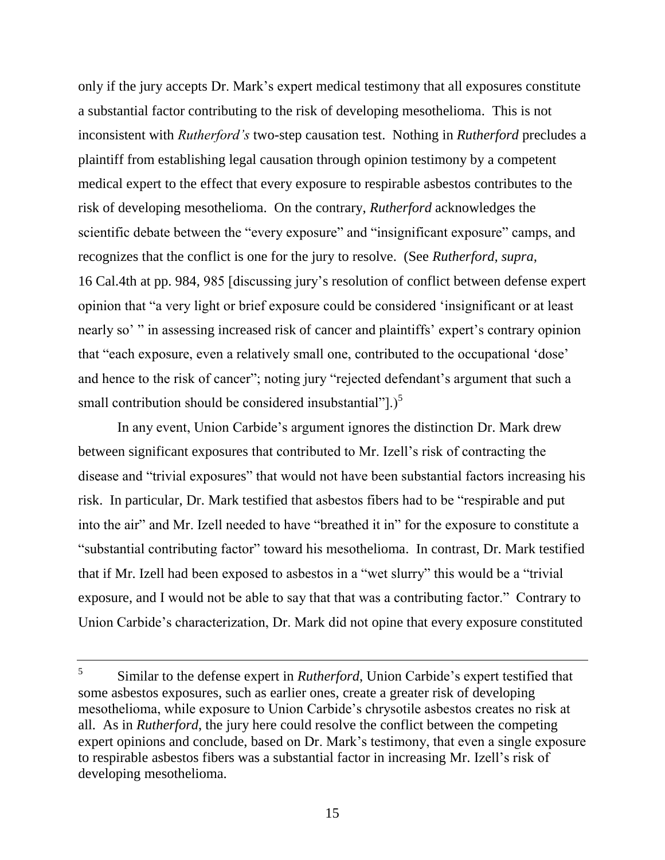only if the jury accepts Dr. Mark's expert medical testimony that all exposures constitute a substantial factor contributing to the risk of developing mesothelioma. This is not inconsistent with *Rutherford's* two-step causation test. Nothing in *Rutherford* precludes a plaintiff from establishing legal causation through opinion testimony by a competent medical expert to the effect that every exposure to respirable asbestos contributes to the risk of developing mesothelioma. On the contrary, *Rutherford* acknowledges the scientific debate between the "every exposure" and "insignificant exposure" camps, and recognizes that the conflict is one for the jury to resolve. (See *Rutherford, supra,* 16 Cal.4th at pp. 984, 985 [discussing jury's resolution of conflict between defense expert opinion that "a very light or brief exposure could be considered 'insignificant or at least nearly so' " in assessing increased risk of cancer and plaintiffs' expert's contrary opinion that "each exposure, even a relatively small one, contributed to the occupational 'dose' and hence to the risk of cancer"; noting jury "rejected defendant's argument that such a small contribution should be considered insubstantial" $\bigcup_{n=1}^5$ 

In any event, Union Carbide's argument ignores the distinction Dr. Mark drew between significant exposures that contributed to Mr. Izell's risk of contracting the disease and "trivial exposures" that would not have been substantial factors increasing his risk. In particular, Dr. Mark testified that asbestos fibers had to be "respirable and put into the air" and Mr. Izell needed to have "breathed it in" for the exposure to constitute a "substantial contributing factor" toward his mesothelioma. In contrast, Dr. Mark testified that if Mr. Izell had been exposed to asbestos in a "wet slurry" this would be a "trivial exposure, and I would not be able to say that that was a contributing factor." Contrary to Union Carbide's characterization, Dr. Mark did not opine that every exposure constituted

<sup>5</sup> Similar to the defense expert in *Rutherford*, Union Carbide's expert testified that some asbestos exposures, such as earlier ones, create a greater risk of developing mesothelioma, while exposure to Union Carbide's chrysotile asbestos creates no risk at all. As in *Rutherford*, the jury here could resolve the conflict between the competing expert opinions and conclude, based on Dr. Mark's testimony, that even a single exposure to respirable asbestos fibers was a substantial factor in increasing Mr. Izell's risk of developing mesothelioma.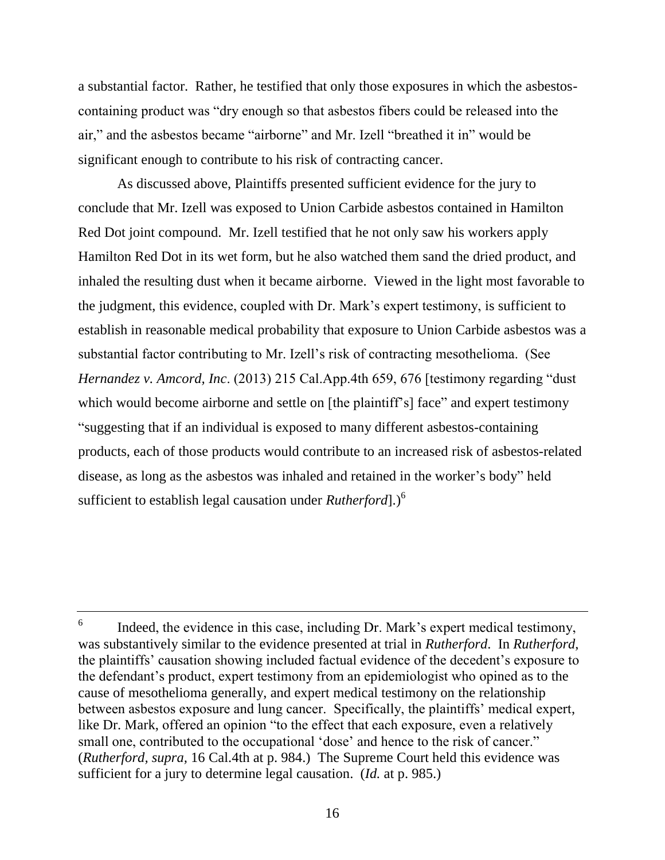a substantial factor. Rather, he testified that only those exposures in which the asbestoscontaining product was "dry enough so that asbestos fibers could be released into the air," and the asbestos became "airborne" and Mr. Izell "breathed it in" would be significant enough to contribute to his risk of contracting cancer.

As discussed above, Plaintiffs presented sufficient evidence for the jury to conclude that Mr. Izell was exposed to Union Carbide asbestos contained in Hamilton Red Dot joint compound. Mr. Izell testified that he not only saw his workers apply Hamilton Red Dot in its wet form, but he also watched them sand the dried product, and inhaled the resulting dust when it became airborne. Viewed in the light most favorable to the judgment, this evidence, coupled with Dr. Mark's expert testimony, is sufficient to establish in reasonable medical probability that exposure to Union Carbide asbestos was a substantial factor contributing to Mr. Izell's risk of contracting mesothelioma. (See *Hernandez v. Amcord, Inc*. (2013) 215 Cal.App.4th 659, 676 [testimony regarding "dust which would become airborne and settle on [the plaintiff's] face" and expert testimony "suggesting that if an individual is exposed to many different asbestos-containing products, each of those products would contribute to an increased risk of asbestos-related disease, as long as the asbestos was inhaled and retained in the worker's body" held sufficient to establish legal causation under *Rutherford*].) 6

<sup>6</sup> Indeed, the evidence in this case, including Dr. Mark's expert medical testimony, was substantively similar to the evidence presented at trial in *Rutherford*. In *Rutherford*, the plaintiffs' causation showing included factual evidence of the decedent's exposure to the defendant's product, expert testimony from an epidemiologist who opined as to the cause of mesothelioma generally, and expert medical testimony on the relationship between asbestos exposure and lung cancer. Specifically, the plaintiffs' medical expert, like Dr. Mark, offered an opinion "to the effect that each exposure, even a relatively small one, contributed to the occupational 'dose' and hence to the risk of cancer." (*Rutherford, supra,* 16 Cal.4th at p. 984.) The Supreme Court held this evidence was sufficient for a jury to determine legal causation. (*Id.* at p. 985.)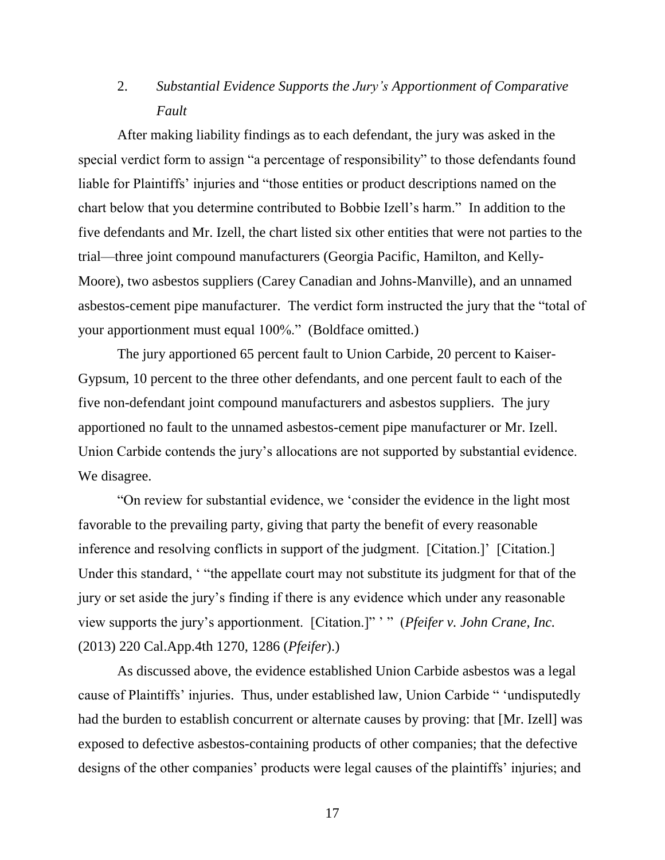# 2. *Substantial Evidence Supports the Jury's Apportionment of Comparative Fault*

After making liability findings as to each defendant, the jury was asked in the special verdict form to assign "a percentage of responsibility" to those defendants found liable for Plaintiffs' injuries and "those entities or product descriptions named on the chart below that you determine contributed to Bobbie Izell's harm." In addition to the five defendants and Mr. Izell, the chart listed six other entities that were not parties to the trial—three joint compound manufacturers (Georgia Pacific, Hamilton, and Kelly-Moore), two asbestos suppliers (Carey Canadian and Johns-Manville), and an unnamed asbestos-cement pipe manufacturer. The verdict form instructed the jury that the "total of your apportionment must equal 100%." (Boldface omitted.)

The jury apportioned 65 percent fault to Union Carbide, 20 percent to Kaiser-Gypsum, 10 percent to the three other defendants, and one percent fault to each of the five non-defendant joint compound manufacturers and asbestos suppliers. The jury apportioned no fault to the unnamed asbestos-cement pipe manufacturer or Mr. Izell. Union Carbide contends the jury's allocations are not supported by substantial evidence. We disagree.

"On review for substantial evidence, we 'consider the evidence in the light most favorable to the prevailing party, giving that party the benefit of every reasonable inference and resolving conflicts in support of the judgment. [Citation.]' [Citation.] Under this standard, ' "the appellate court may not substitute its judgment for that of the jury or set aside the jury's finding if there is any evidence which under any reasonable view supports the jury's apportionment. [Citation.]" ' " (*Pfeifer v. John Crane, Inc.* (2013) 220 Cal.App.4th 1270, 1286 (*Pfeifer*).)

As discussed above, the evidence established Union Carbide asbestos was a legal cause of Plaintiffs' injuries. Thus, under established law, Union Carbide " 'undisputedly had the burden to establish concurrent or alternate causes by proving: that [Mr. Izell] was exposed to defective asbestos-containing products of other companies; that the defective designs of the other companies' products were legal causes of the plaintiffs' injuries; and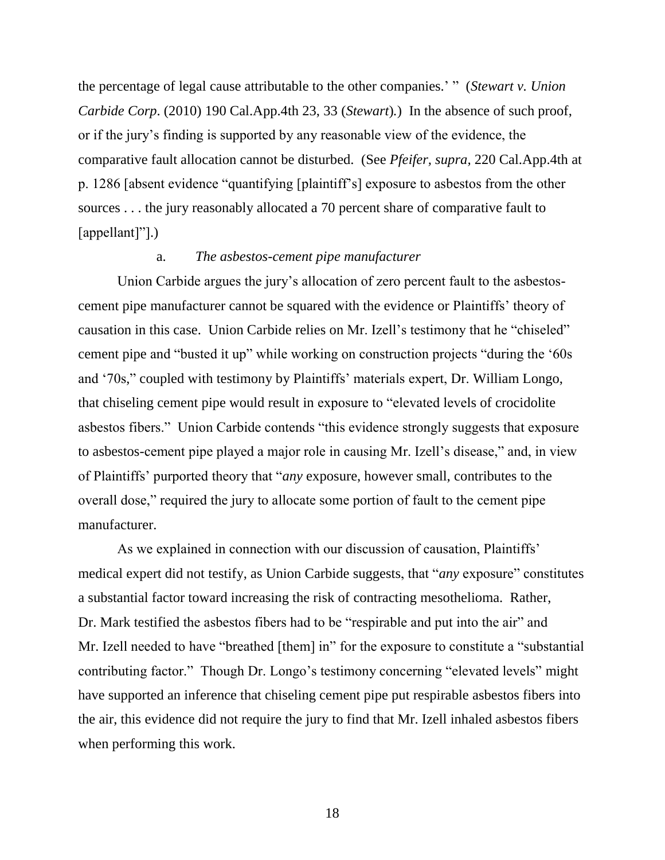the percentage of legal cause attributable to the other companies.' " (*Stewart v. Union Carbide Corp*. (2010) 190 Cal.App.4th 23, 33 (*Stewart*)*.*) In the absence of such proof, or if the jury's finding is supported by any reasonable view of the evidence, the comparative fault allocation cannot be disturbed. (See *Pfeifer, supra,* 220 Cal.App.4th at p. 1286 [absent evidence "quantifying [plaintiff's] exposure to asbestos from the other sources . . . the jury reasonably allocated a 70 percent share of comparative fault to [appellant]"].)

## a. *The asbestos-cement pipe manufacturer*

Union Carbide argues the jury's allocation of zero percent fault to the asbestoscement pipe manufacturer cannot be squared with the evidence or Plaintiffs' theory of causation in this case. Union Carbide relies on Mr. Izell's testimony that he "chiseled" cement pipe and "busted it up" while working on construction projects "during the '60s and '70s," coupled with testimony by Plaintiffs' materials expert, Dr. William Longo, that chiseling cement pipe would result in exposure to "elevated levels of crocidolite asbestos fibers." Union Carbide contends "this evidence strongly suggests that exposure to asbestos-cement pipe played a major role in causing Mr. Izell's disease," and, in view of Plaintiffs' purported theory that "*any* exposure, however small, contributes to the overall dose," required the jury to allocate some portion of fault to the cement pipe manufacturer.

As we explained in connection with our discussion of causation, Plaintiffs' medical expert did not testify, as Union Carbide suggests, that "*any* exposure" constitutes a substantial factor toward increasing the risk of contracting mesothelioma. Rather, Dr. Mark testified the asbestos fibers had to be "respirable and put into the air" and Mr. Izell needed to have "breathed [them] in" for the exposure to constitute a "substantial contributing factor." Though Dr. Longo's testimony concerning "elevated levels" might have supported an inference that chiseling cement pipe put respirable asbestos fibers into the air, this evidence did not require the jury to find that Mr. Izell inhaled asbestos fibers when performing this work.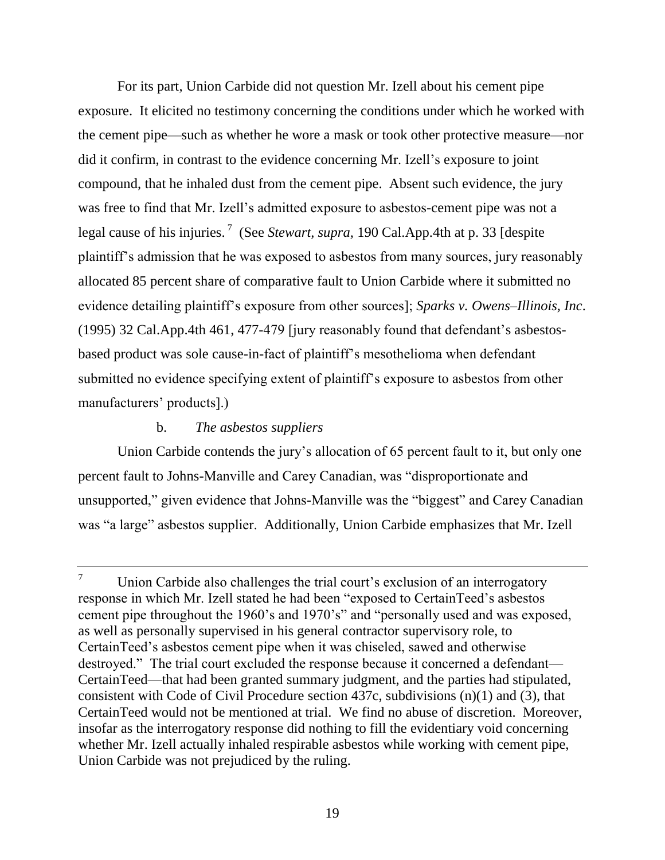For its part, Union Carbide did not question Mr. Izell about his cement pipe exposure. It elicited no testimony concerning the conditions under which he worked with the cement pipe—such as whether he wore a mask or took other protective measure—nor did it confirm, in contrast to the evidence concerning Mr. Izell's exposure to joint compound, that he inhaled dust from the cement pipe. Absent such evidence, the jury was free to find that Mr. Izell's admitted exposure to asbestos-cement pipe was not a legal cause of his injuries. <sup>7</sup> (See *Stewart, supra,* 190 Cal.App.4th at p. 33 [despite plaintiff's admission that he was exposed to asbestos from many sources, jury reasonably allocated 85 percent share of comparative fault to Union Carbide where it submitted no evidence detailing plaintiff's exposure from other sources]; *Sparks v. Owens–Illinois, Inc*. (1995) 32 Cal.App.4th 461, 477-479 [jury reasonably found that defendant's asbestosbased product was sole cause-in-fact of plaintiff's mesothelioma when defendant submitted no evidence specifying extent of plaintiff's exposure to asbestos from other manufacturers' products].)

## b. *The asbestos suppliers*

Union Carbide contends the jury's allocation of 65 percent fault to it, but only one percent fault to Johns-Manville and Carey Canadian, was "disproportionate and unsupported," given evidence that Johns-Manville was the "biggest" and Carey Canadian was "a large" asbestos supplier. Additionally, Union Carbide emphasizes that Mr. Izell

 $7 \text{ Union}$  Carbide also challenges the trial court's exclusion of an interrogatory response in which Mr. Izell stated he had been "exposed to CertainTeed's asbestos cement pipe throughout the 1960's and 1970's" and "personally used and was exposed, as well as personally supervised in his general contractor supervisory role, to CertainTeed's asbestos cement pipe when it was chiseled, sawed and otherwise destroyed." The trial court excluded the response because it concerned a defendant— CertainTeed—that had been granted summary judgment, and the parties had stipulated, consistent with Code of Civil Procedure section 437c, subdivisions (n)(1) and (3), that CertainTeed would not be mentioned at trial. We find no abuse of discretion. Moreover, insofar as the interrogatory response did nothing to fill the evidentiary void concerning whether Mr. Izell actually inhaled respirable asbestos while working with cement pipe, Union Carbide was not prejudiced by the ruling.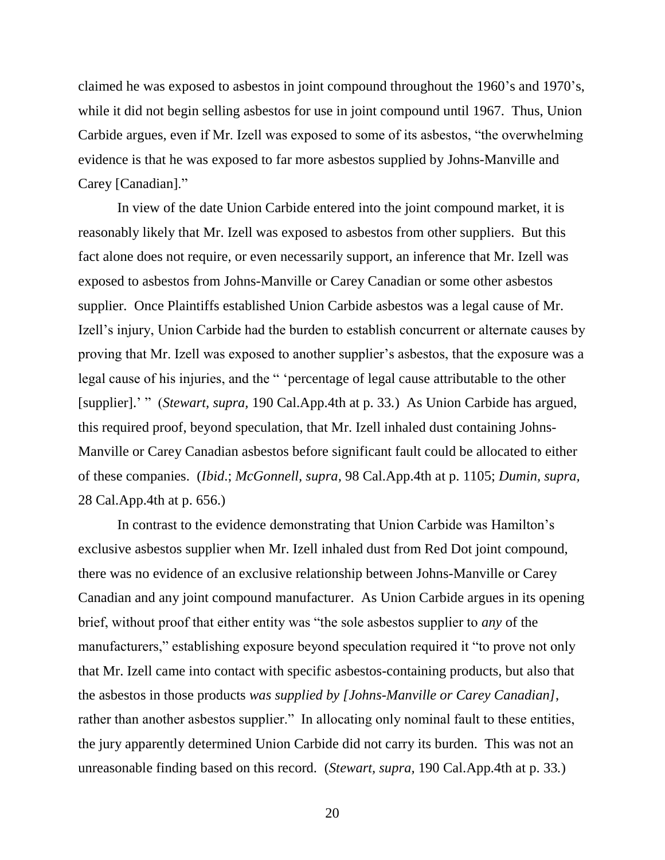claimed he was exposed to asbestos in joint compound throughout the 1960's and 1970's, while it did not begin selling asbestos for use in joint compound until 1967. Thus, Union Carbide argues, even if Mr. Izell was exposed to some of its asbestos, "the overwhelming evidence is that he was exposed to far more asbestos supplied by Johns-Manville and Carey [Canadian]."

In view of the date Union Carbide entered into the joint compound market, it is reasonably likely that Mr. Izell was exposed to asbestos from other suppliers. But this fact alone does not require, or even necessarily support, an inference that Mr. Izell was exposed to asbestos from Johns-Manville or Carey Canadian or some other asbestos supplier. Once Plaintiffs established Union Carbide asbestos was a legal cause of Mr. Izell's injury, Union Carbide had the burden to establish concurrent or alternate causes by proving that Mr. Izell was exposed to another supplier's asbestos, that the exposure was a legal cause of his injuries, and the " 'percentage of legal cause attributable to the other [supplier].' " (*Stewart, supra,* 190 Cal.App.4th at p. 33*.*) As Union Carbide has argued, this required proof, beyond speculation, that Mr. Izell inhaled dust containing Johns-Manville or Carey Canadian asbestos before significant fault could be allocated to either of these companies. (*Ibid*.; *McGonnell, supra,* 98 Cal.App.4th at p. 1105; *Dumin, supra,*  28 Cal.App.4th at p. 656.)

In contrast to the evidence demonstrating that Union Carbide was Hamilton's exclusive asbestos supplier when Mr. Izell inhaled dust from Red Dot joint compound, there was no evidence of an exclusive relationship between Johns-Manville or Carey Canadian and any joint compound manufacturer. As Union Carbide argues in its opening brief, without proof that either entity was "the sole asbestos supplier to *any* of the manufacturers," establishing exposure beyond speculation required it "to prove not only that Mr. Izell came into contact with specific asbestos-containing products, but also that the asbestos in those products *was supplied by [Johns-Manville or Carey Canadian]*, rather than another asbestos supplier." In allocating only nominal fault to these entities, the jury apparently determined Union Carbide did not carry its burden. This was not an unreasonable finding based on this record. (*Stewart, supra,* 190 Cal.App.4th at p. 33*.*)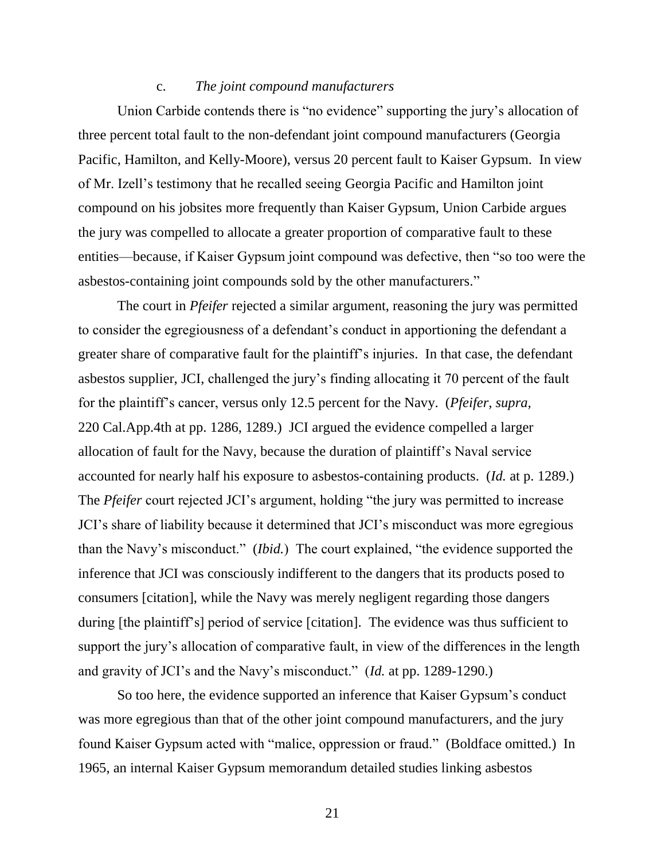### c. *The joint compound manufacturers*

Union Carbide contends there is "no evidence" supporting the jury's allocation of three percent total fault to the non-defendant joint compound manufacturers (Georgia Pacific, Hamilton, and Kelly-Moore), versus 20 percent fault to Kaiser Gypsum. In view of Mr. Izell's testimony that he recalled seeing Georgia Pacific and Hamilton joint compound on his jobsites more frequently than Kaiser Gypsum, Union Carbide argues the jury was compelled to allocate a greater proportion of comparative fault to these entities—because, if Kaiser Gypsum joint compound was defective, then "so too were the asbestos-containing joint compounds sold by the other manufacturers."

The court in *Pfeifer* rejected a similar argument, reasoning the jury was permitted to consider the egregiousness of a defendant's conduct in apportioning the defendant a greater share of comparative fault for the plaintiff's injuries. In that case, the defendant asbestos supplier, JCI, challenged the jury's finding allocating it 70 percent of the fault for the plaintiff's cancer, versus only 12.5 percent for the Navy. (*Pfeifer, supra,* 220 Cal.App.4th at pp. 1286, 1289.) JCI argued the evidence compelled a larger allocation of fault for the Navy, because the duration of plaintiff's Naval service accounted for nearly half his exposure to asbestos-containing products. (*Id.* at p. 1289.) The *Pfeifer* court rejected JCI's argument, holding "the jury was permitted to increase JCI's share of liability because it determined that JCI's misconduct was more egregious than the Navy's misconduct." (*Ibid.*) The court explained, "the evidence supported the inference that JCI was consciously indifferent to the dangers that its products posed to consumers [citation], while the Navy was merely negligent regarding those dangers during [the plaintiff's] period of service [citation]. The evidence was thus sufficient to support the jury's allocation of comparative fault, in view of the differences in the length and gravity of JCI's and the Navy's misconduct." (*Id.* at pp. 1289-1290.)

So too here, the evidence supported an inference that Kaiser Gypsum's conduct was more egregious than that of the other joint compound manufacturers, and the jury found Kaiser Gypsum acted with "malice, oppression or fraud." (Boldface omitted.) In 1965, an internal Kaiser Gypsum memorandum detailed studies linking asbestos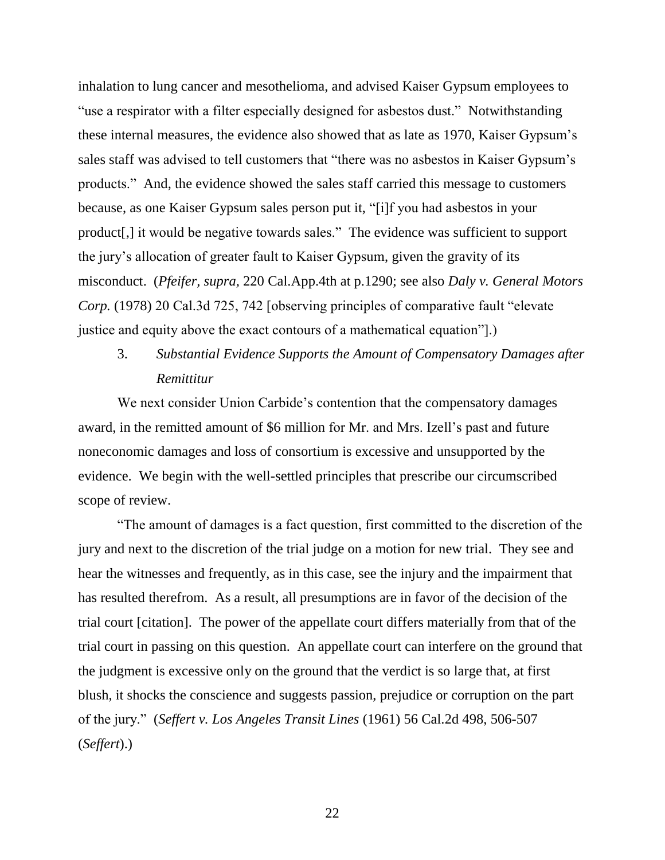inhalation to lung cancer and mesothelioma, and advised Kaiser Gypsum employees to "use a respirator with a filter especially designed for asbestos dust." Notwithstanding these internal measures, the evidence also showed that as late as 1970, Kaiser Gypsum's sales staff was advised to tell customers that "there was no asbestos in Kaiser Gypsum's products." And, the evidence showed the sales staff carried this message to customers because, as one Kaiser Gypsum sales person put it, "[i]f you had asbestos in your product[,] it would be negative towards sales." The evidence was sufficient to support the jury's allocation of greater fault to Kaiser Gypsum, given the gravity of its misconduct. (*Pfeifer, supra,* 220 Cal.App.4th at p.1290; see also *Daly v. General Motors Corp.* (1978) 20 Cal.3d 725, 742 [observing principles of comparative fault "elevate justice and equity above the exact contours of a mathematical equation"].)

# 3. *Substantial Evidence Supports the Amount of Compensatory Damages after Remittitur*

We next consider Union Carbide's contention that the compensatory damages award, in the remitted amount of \$6 million for Mr. and Mrs. Izell's past and future noneconomic damages and loss of consortium is excessive and unsupported by the evidence. We begin with the well-settled principles that prescribe our circumscribed scope of review.

"The amount of damages is a fact question, first committed to the discretion of the jury and next to the discretion of the trial judge on a motion for new trial. They see and hear the witnesses and frequently, as in this case, see the injury and the impairment that has resulted therefrom. As a result, all presumptions are in favor of the decision of the trial court [citation]. The power of the appellate court differs materially from that of the trial court in passing on this question. An appellate court can interfere on the ground that the judgment is excessive only on the ground that the verdict is so large that, at first blush, it shocks the conscience and suggests passion, prejudice or corruption on the part of the jury." (*Seffert v. Los Angeles Transit Lines* (1961) 56 Cal.2d 498, 506-507 (*Seffert*).)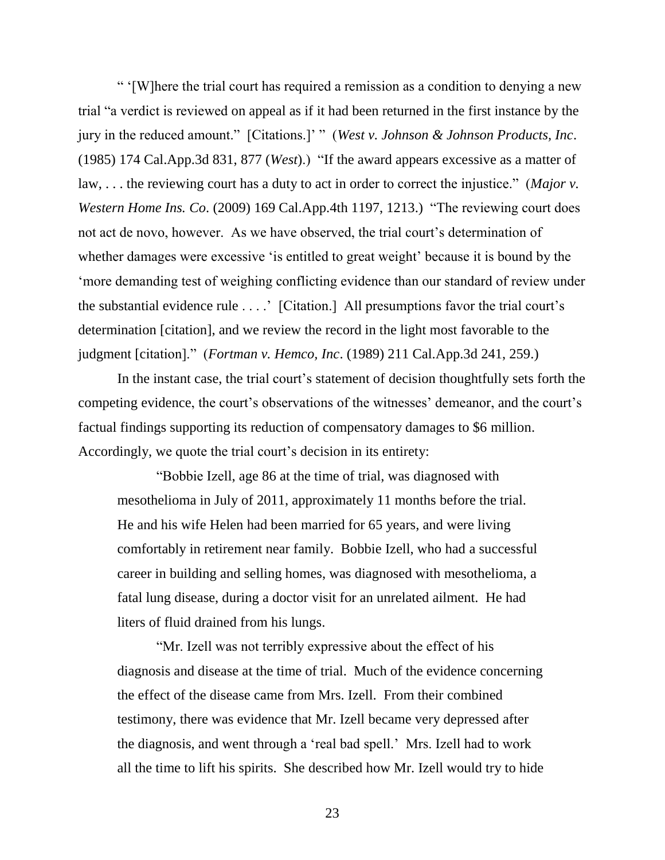" '[W]here the trial court has required a remission as a condition to denying a new trial "a verdict is reviewed on appeal as if it had been returned in the first instance by the jury in the reduced amount." [Citations.]' " (*West v. Johnson & Johnson Products, Inc*. (1985) 174 Cal.App.3d 831, 877 (*West*).) "If the award appears excessive as a matter of law, . . . the reviewing court has a duty to act in order to correct the injustice." (*Major v. Western Home Ins. Co*. (2009) 169 Cal.App.4th 1197, 1213.) "The reviewing court does not act de novo, however. As we have observed, the trial court's determination of whether damages were excessive 'is entitled to great weight' because it is bound by the 'more demanding test of weighing conflicting evidence than our standard of review under the substantial evidence rule . . . .' [Citation.] All presumptions favor the trial court's determination [citation], and we review the record in the light most favorable to the judgment [citation]." (*Fortman v. Hemco, Inc*. (1989) 211 Cal.App.3d 241, 259.)

In the instant case, the trial court's statement of decision thoughtfully sets forth the competing evidence, the court's observations of the witnesses' demeanor, and the court's factual findings supporting its reduction of compensatory damages to \$6 million. Accordingly, we quote the trial court's decision in its entirety:

"Bobbie Izell, age 86 at the time of trial, was diagnosed with mesothelioma in July of 2011, approximately 11 months before the trial. He and his wife Helen had been married for 65 years, and were living comfortably in retirement near family. Bobbie Izell, who had a successful career in building and selling homes, was diagnosed with mesothelioma, a fatal lung disease, during a doctor visit for an unrelated ailment. He had liters of fluid drained from his lungs.

"Mr. Izell was not terribly expressive about the effect of his diagnosis and disease at the time of trial. Much of the evidence concerning the effect of the disease came from Mrs. Izell. From their combined testimony, there was evidence that Mr. Izell became very depressed after the diagnosis, and went through a 'real bad spell.' Mrs. Izell had to work all the time to lift his spirits. She described how Mr. Izell would try to hide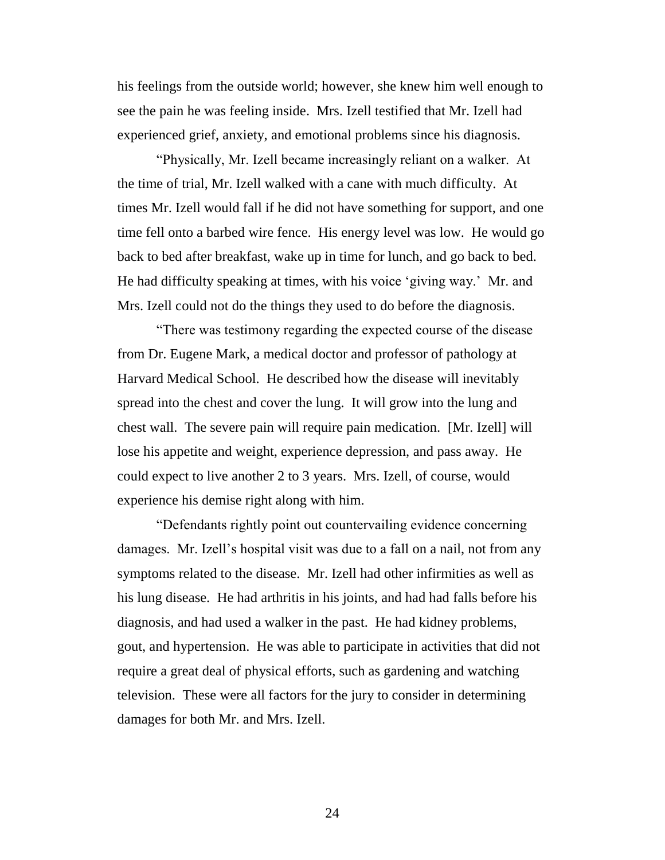his feelings from the outside world; however, she knew him well enough to see the pain he was feeling inside. Mrs. Izell testified that Mr. Izell had experienced grief, anxiety, and emotional problems since his diagnosis.

"Physically, Mr. Izell became increasingly reliant on a walker. At the time of trial, Mr. Izell walked with a cane with much difficulty. At times Mr. Izell would fall if he did not have something for support, and one time fell onto a barbed wire fence. His energy level was low. He would go back to bed after breakfast, wake up in time for lunch, and go back to bed. He had difficulty speaking at times, with his voice 'giving way.' Mr. and Mrs. Izell could not do the things they used to do before the diagnosis.

"There was testimony regarding the expected course of the disease from Dr. Eugene Mark, a medical doctor and professor of pathology at Harvard Medical School. He described how the disease will inevitably spread into the chest and cover the lung. It will grow into the lung and chest wall. The severe pain will require pain medication. [Mr. Izell] will lose his appetite and weight, experience depression, and pass away. He could expect to live another 2 to 3 years. Mrs. Izell, of course, would experience his demise right along with him.

"Defendants rightly point out countervailing evidence concerning damages. Mr. Izell's hospital visit was due to a fall on a nail, not from any symptoms related to the disease. Mr. Izell had other infirmities as well as his lung disease. He had arthritis in his joints, and had had falls before his diagnosis, and had used a walker in the past. He had kidney problems, gout, and hypertension. He was able to participate in activities that did not require a great deal of physical efforts, such as gardening and watching television. These were all factors for the jury to consider in determining damages for both Mr. and Mrs. Izell.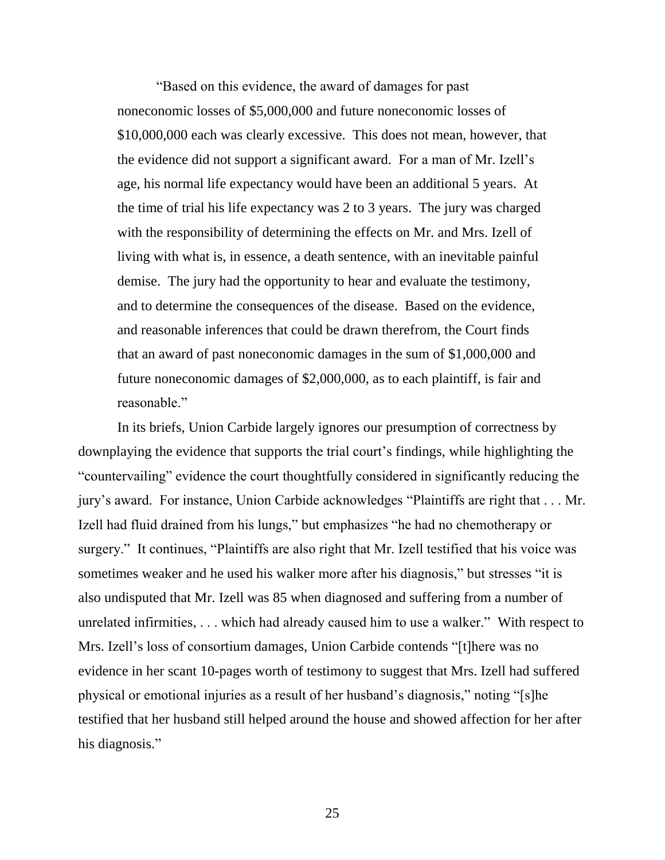"Based on this evidence, the award of damages for past noneconomic losses of \$5,000,000 and future noneconomic losses of \$10,000,000 each was clearly excessive. This does not mean, however, that the evidence did not support a significant award. For a man of Mr. Izell's age, his normal life expectancy would have been an additional 5 years. At the time of trial his life expectancy was 2 to 3 years. The jury was charged with the responsibility of determining the effects on Mr. and Mrs. Izell of living with what is, in essence, a death sentence, with an inevitable painful demise. The jury had the opportunity to hear and evaluate the testimony, and to determine the consequences of the disease. Based on the evidence, and reasonable inferences that could be drawn therefrom, the Court finds that an award of past noneconomic damages in the sum of \$1,000,000 and future noneconomic damages of \$2,000,000, as to each plaintiff, is fair and reasonable."

In its briefs, Union Carbide largely ignores our presumption of correctness by downplaying the evidence that supports the trial court's findings, while highlighting the "countervailing" evidence the court thoughtfully considered in significantly reducing the jury's award. For instance, Union Carbide acknowledges "Plaintiffs are right that . . . Mr. Izell had fluid drained from his lungs," but emphasizes "he had no chemotherapy or surgery." It continues, "Plaintiffs are also right that Mr. Izell testified that his voice was sometimes weaker and he used his walker more after his diagnosis," but stresses "it is also undisputed that Mr. Izell was 85 when diagnosed and suffering from a number of unrelated infirmities, . . . which had already caused him to use a walker." With respect to Mrs. Izell's loss of consortium damages, Union Carbide contends "[t]here was no evidence in her scant 10-pages worth of testimony to suggest that Mrs. Izell had suffered physical or emotional injuries as a result of her husband's diagnosis," noting "[s]he testified that her husband still helped around the house and showed affection for her after his diagnosis."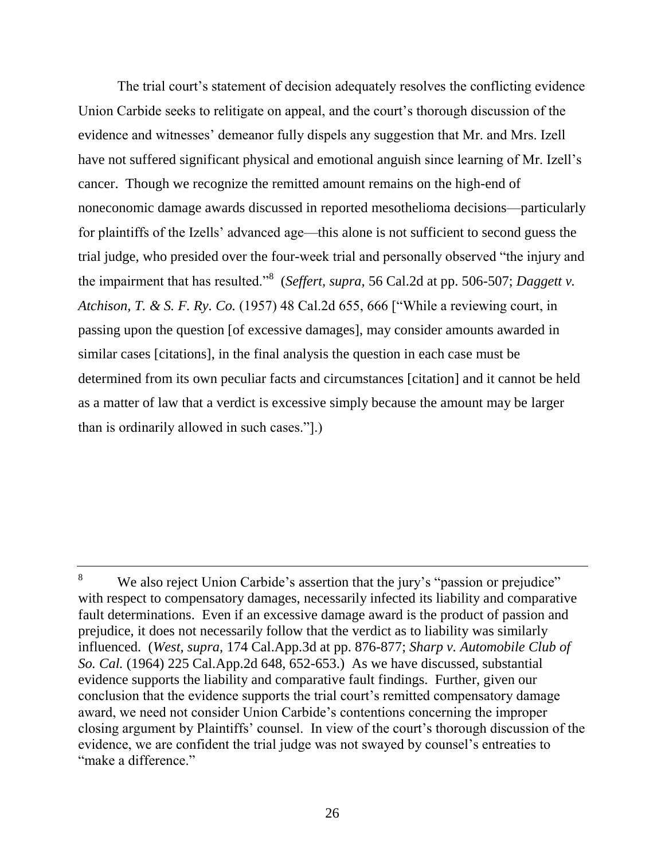The trial court's statement of decision adequately resolves the conflicting evidence Union Carbide seeks to relitigate on appeal, and the court's thorough discussion of the evidence and witnesses' demeanor fully dispels any suggestion that Mr. and Mrs. Izell have not suffered significant physical and emotional anguish since learning of Mr. Izell's cancer. Though we recognize the remitted amount remains on the high-end of noneconomic damage awards discussed in reported mesothelioma decisions—particularly for plaintiffs of the Izells' advanced age—this alone is not sufficient to second guess the trial judge, who presided over the four-week trial and personally observed "the injury and the impairment that has resulted."<sup>8</sup> (*Seffert, supra,* 56 Cal.2d at pp. 506-507; *Daggett v. Atchison, T. & S. F. Ry. Co.* (1957) 48 Cal.2d 655, 666 ["While a reviewing court, in passing upon the question [of excessive damages], may consider amounts awarded in similar cases [citations], in the final analysis the question in each case must be determined from its own peculiar facts and circumstances [citation] and it cannot be held as a matter of law that a verdict is excessive simply because the amount may be larger than is ordinarily allowed in such cases."].)

<sup>&</sup>lt;sup>8</sup> We also reject Union Carbide's assertion that the jury's "passion or prejudice" with respect to compensatory damages, necessarily infected its liability and comparative fault determinations. Even if an excessive damage award is the product of passion and prejudice, it does not necessarily follow that the verdict as to liability was similarly influenced. (*West, supra,* 174 Cal.App.3d at pp. 876-877; *Sharp v. Automobile Club of So. Cal.* (1964) 225 Cal.App.2d 648, 652-653.) As we have discussed, substantial evidence supports the liability and comparative fault findings. Further, given our conclusion that the evidence supports the trial court's remitted compensatory damage award, we need not consider Union Carbide's contentions concerning the improper closing argument by Plaintiffs' counsel. In view of the court's thorough discussion of the evidence, we are confident the trial judge was not swayed by counsel's entreaties to "make a difference."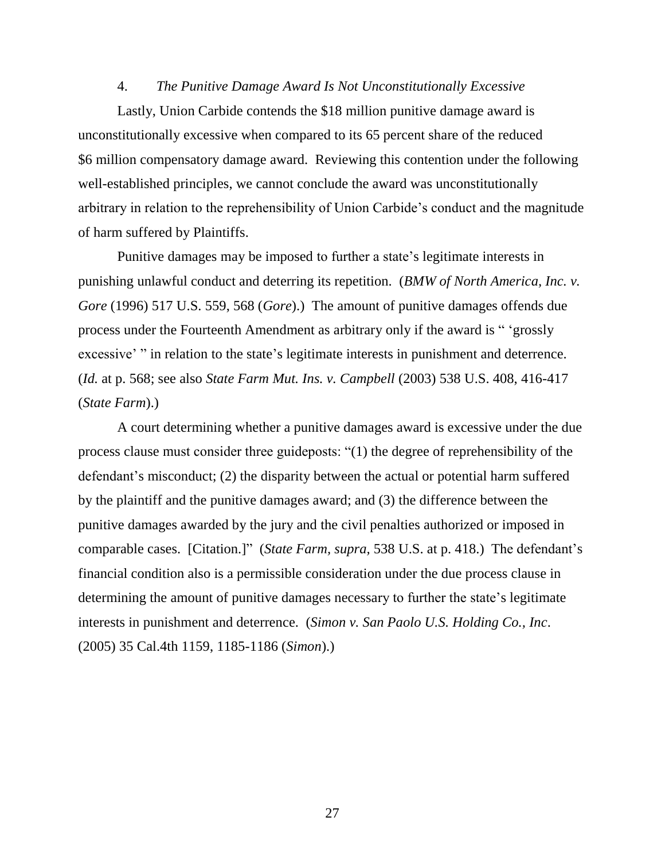## 4. *The Punitive Damage Award Is Not Unconstitutionally Excessive*

Lastly, Union Carbide contends the \$18 million punitive damage award is unconstitutionally excessive when compared to its 65 percent share of the reduced \$6 million compensatory damage award. Reviewing this contention under the following well-established principles, we cannot conclude the award was unconstitutionally arbitrary in relation to the reprehensibility of Union Carbide's conduct and the magnitude of harm suffered by Plaintiffs.

Punitive damages may be imposed to further a state's legitimate interests in punishing unlawful conduct and deterring its repetition. (*BMW of North America, Inc. v. Gore* (1996) 517 U.S. 559, 568 (*Gore*).) The amount of punitive damages offends due process under the Fourteenth Amendment as arbitrary only if the award is " 'grossly excessive' " in relation to the state's legitimate interests in punishment and deterrence. (*Id.* at p. 568; see also *State Farm Mut. Ins. v. Campbell* (2003) 538 U.S. 408, 416-417 (*State Farm*).)

A court determining whether a punitive damages award is excessive under the due process clause must consider three guideposts: "(1) the degree of reprehensibility of the defendant's misconduct; (2) the disparity between the actual or potential harm suffered by the plaintiff and the punitive damages award; and (3) the difference between the punitive damages awarded by the jury and the civil penalties authorized or imposed in comparable cases. [Citation.]" (*State Farm, supra,* 538 U.S. at p. 418.) The defendant's financial condition also is a permissible consideration under the due process clause in determining the amount of punitive damages necessary to further the state's legitimate interests in punishment and deterrence. (*Simon v. San Paolo U.S. Holding Co., Inc*. (2005) 35 Cal.4th 1159, 1185-1186 (*Simon*).)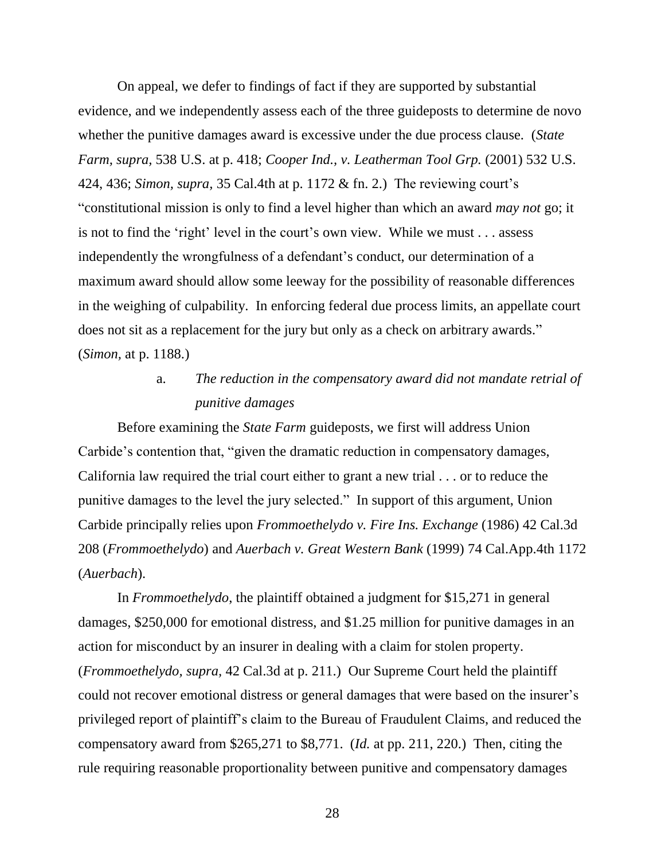On appeal, we defer to findings of fact if they are supported by substantial evidence, and we independently assess each of the three guideposts to determine de novo whether the punitive damages award is excessive under the due process clause. (*State Farm, supra,* 538 U.S. at p. 418; *Cooper Ind., v. Leatherman Tool Grp.* (2001) 532 U.S. 424, 436; *Simon, supra,* 35 Cal.4th at p. 1172 & fn. 2.) The reviewing court's "constitutional mission is only to find a level higher than which an award *may not* go; it is not to find the 'right' level in the court's own view. While we must . . . assess independently the wrongfulness of a defendant's conduct, our determination of a maximum award should allow some leeway for the possibility of reasonable differences in the weighing of culpability. In enforcing federal due process limits, an appellate court does not sit as a replacement for the jury but only as a check on arbitrary awards." (*Simon,* at p. 1188.)

# a. *The reduction in the compensatory award did not mandate retrial of punitive damages*

Before examining the *State Farm* guideposts, we first will address Union Carbide's contention that, "given the dramatic reduction in compensatory damages, California law required the trial court either to grant a new trial . . . or to reduce the punitive damages to the level the jury selected." In support of this argument, Union Carbide principally relies upon *Frommoethelydo v. Fire Ins. Exchange* (1986) 42 Cal.3d 208 (*Frommoethelydo*) and *Auerbach v. Great Western Bank* (1999) 74 Cal.App.4th 1172 (*Auerbach*).

In *Frommoethelydo*, the plaintiff obtained a judgment for \$15,271 in general damages, \$250,000 for emotional distress, and \$1.25 million for punitive damages in an action for misconduct by an insurer in dealing with a claim for stolen property. (*Frommoethelydo, supra,* 42 Cal.3d at p. 211.) Our Supreme Court held the plaintiff could not recover emotional distress or general damages that were based on the insurer's privileged report of plaintiff's claim to the Bureau of Fraudulent Claims, and reduced the compensatory award from \$265,271 to \$8,771. (*Id.* at pp. 211, 220.) Then, citing the rule requiring reasonable proportionality between punitive and compensatory damages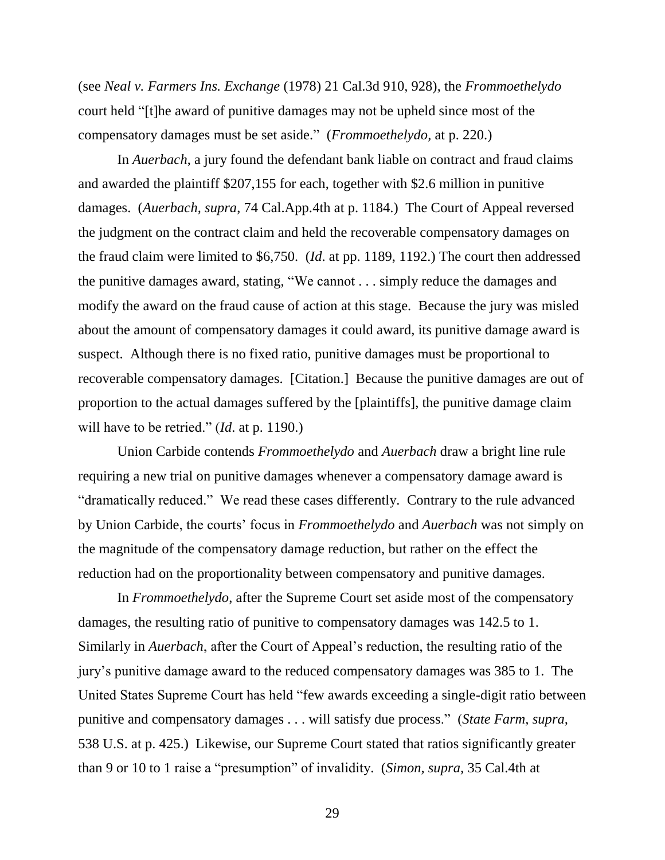(see *Neal v. Farmers Ins. Exchange* (1978) 21 Cal.3d 910, 928), the *Frommoethelydo* court held "[t]he award of punitive damages may not be upheld since most of the compensatory damages must be set aside." (*Frommoethelydo,* at p. 220.)

In *Auerbach*, a jury found the defendant bank liable on contract and fraud claims and awarded the plaintiff \$207,155 for each, together with \$2.6 million in punitive damages. (*Auerbach, supra*, 74 Cal.App.4th at p. 1184.) The Court of Appeal reversed the judgment on the contract claim and held the recoverable compensatory damages on the fraud claim were limited to \$6,750. (*Id*. at pp. 1189, 1192.) The court then addressed the punitive damages award, stating, "We cannot . . . simply reduce the damages and modify the award on the fraud cause of action at this stage. Because the jury was misled about the amount of compensatory damages it could award, its punitive damage award is suspect. Although there is no fixed ratio, punitive damages must be proportional to recoverable compensatory damages. [Citation.] Because the punitive damages are out of proportion to the actual damages suffered by the [plaintiffs], the punitive damage claim will have to be retried." (*Id*. at p. 1190.)

Union Carbide contends *Frommoethelydo* and *Auerbach* draw a bright line rule requiring a new trial on punitive damages whenever a compensatory damage award is "dramatically reduced." We read these cases differently. Contrary to the rule advanced by Union Carbide, the courts' focus in *Frommoethelydo* and *Auerbach* was not simply on the magnitude of the compensatory damage reduction, but rather on the effect the reduction had on the proportionality between compensatory and punitive damages.

In *Frommoethelydo*, after the Supreme Court set aside most of the compensatory damages, the resulting ratio of punitive to compensatory damages was 142.5 to 1. Similarly in *Auerbach*, after the Court of Appeal's reduction, the resulting ratio of the jury's punitive damage award to the reduced compensatory damages was 385 to 1. The United States Supreme Court has held "few awards exceeding a single-digit ratio between punitive and compensatory damages . . . will satisfy due process." (*State Farm, supra,* 538 U.S. at p. 425.) Likewise, our Supreme Court stated that ratios significantly greater than 9 or 10 to 1 raise a "presumption" of invalidity. (*Simon, supra,* 35 Cal.4th at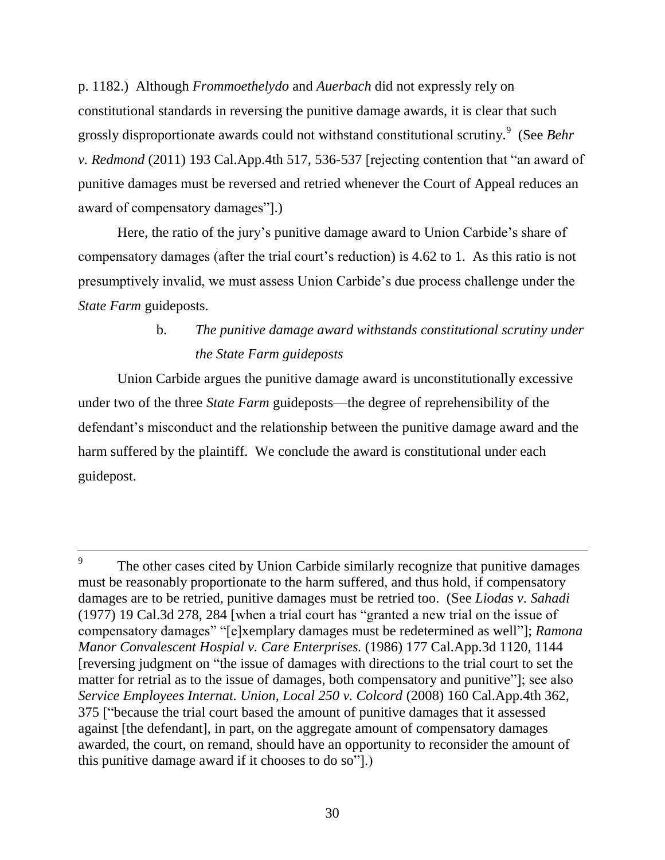p. 1182.) Although *Frommoethelydo* and *Auerbach* did not expressly rely on constitutional standards in reversing the punitive damage awards, it is clear that such grossly disproportionate awards could not withstand constitutional scrutiny.<sup>9</sup> (See *Behr v. Redmond* (2011) 193 Cal.App.4th 517, 536-537 [rejecting contention that "an award of punitive damages must be reversed and retried whenever the Court of Appeal reduces an award of compensatory damages"].)

Here, the ratio of the jury's punitive damage award to Union Carbide's share of compensatory damages (after the trial court's reduction) is 4.62 to 1. As this ratio is not presumptively invalid, we must assess Union Carbide's due process challenge under the *State Farm* guideposts.

# b. *The punitive damage award withstands constitutional scrutiny under the State Farm guideposts*

Union Carbide argues the punitive damage award is unconstitutionally excessive under two of the three *State Farm* guideposts—the degree of reprehensibility of the defendant's misconduct and the relationship between the punitive damage award and the harm suffered by the plaintiff. We conclude the award is constitutional under each guidepost.

<sup>9</sup> The other cases cited by Union Carbide similarly recognize that punitive damages must be reasonably proportionate to the harm suffered, and thus hold, if compensatory damages are to be retried, punitive damages must be retried too. (See *Liodas v. Sahadi*  (1977) 19 Cal.3d 278, 284 [when a trial court has "granted a new trial on the issue of compensatory damages" "[e]xemplary damages must be redetermined as well"]; *Ramona Manor Convalescent Hospial v. Care Enterprises.* (1986) 177 Cal.App.3d 1120, 1144 [reversing judgment on "the issue of damages with directions to the trial court to set the matter for retrial as to the issue of damages, both compensatory and punitive"]; see also *Service Employees Internat. Union, Local 250 v. Colcord* (2008) 160 Cal.App.4th 362, 375 ["because the trial court based the amount of punitive damages that it assessed against [the defendant], in part, on the aggregate amount of compensatory damages awarded, the court, on remand, should have an opportunity to reconsider the amount of this punitive damage award if it chooses to do so"].)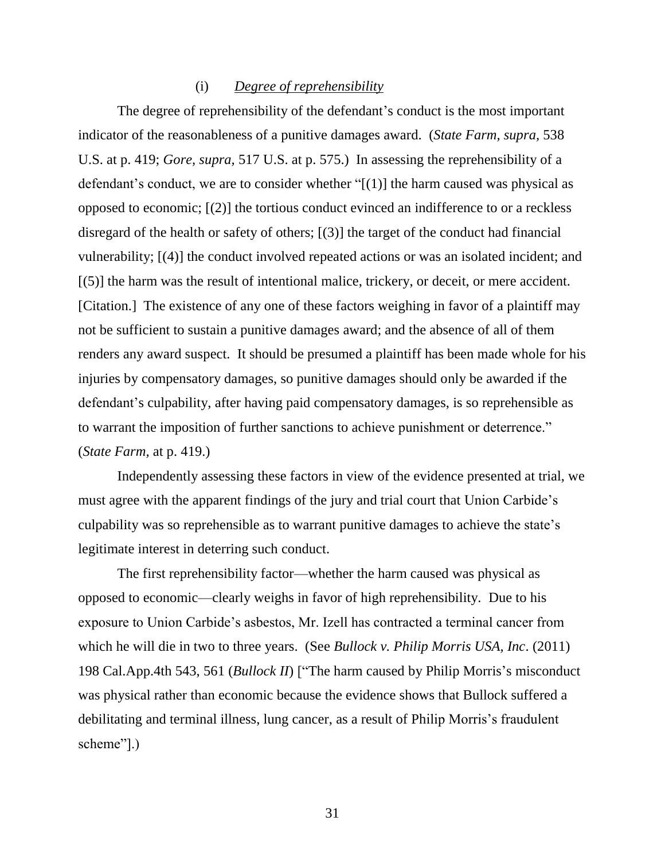#### (i) *Degree of reprehensibility*

The degree of reprehensibility of the defendant's conduct is the most important indicator of the reasonableness of a punitive damages award. (*State Farm, supra,* 538 U.S. at p. 419; *Gore, supra,* 517 U.S. at p. 575.) In assessing the reprehensibility of a defendant's conduct, we are to consider whether "[(1)] the harm caused was physical as opposed to economic; [(2)] the tortious conduct evinced an indifference to or a reckless disregard of the health or safety of others; [(3)] the target of the conduct had financial vulnerability; [(4)] the conduct involved repeated actions or was an isolated incident; and [(5)] the harm was the result of intentional malice, trickery, or deceit, or mere accident. [Citation.] The existence of any one of these factors weighing in favor of a plaintiff may not be sufficient to sustain a punitive damages award; and the absence of all of them renders any award suspect. It should be presumed a plaintiff has been made whole for his injuries by compensatory damages, so punitive damages should only be awarded if the defendant's culpability, after having paid compensatory damages, is so reprehensible as to warrant the imposition of further sanctions to achieve punishment or deterrence." (*State Farm,* at p. 419.)

Independently assessing these factors in view of the evidence presented at trial, we must agree with the apparent findings of the jury and trial court that Union Carbide's culpability was so reprehensible as to warrant punitive damages to achieve the state's legitimate interest in deterring such conduct.

The first reprehensibility factor—whether the harm caused was physical as opposed to economic—clearly weighs in favor of high reprehensibility. Due to his exposure to Union Carbide's asbestos, Mr. Izell has contracted a terminal cancer from which he will die in two to three years. (See *Bullock v. Philip Morris USA, Inc*. (2011) 198 Cal.App.4th 543, 561 (*Bullock II*) ["The harm caused by Philip Morris's misconduct was physical rather than economic because the evidence shows that Bullock suffered a debilitating and terminal illness, lung cancer, as a result of Philip Morris's fraudulent scheme"].)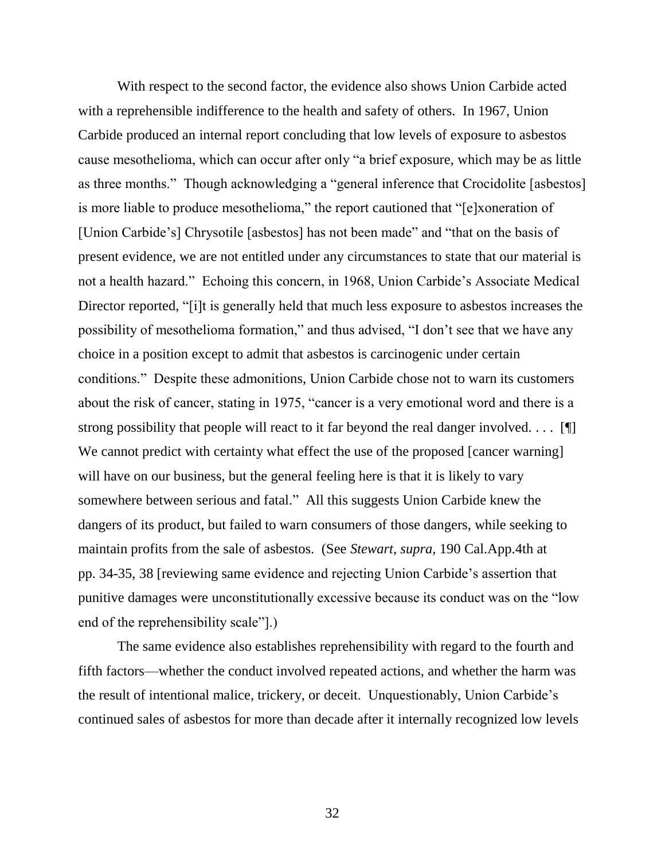With respect to the second factor, the evidence also shows Union Carbide acted with a reprehensible indifference to the health and safety of others. In 1967, Union Carbide produced an internal report concluding that low levels of exposure to asbestos cause mesothelioma, which can occur after only "a brief exposure, which may be as little as three months." Though acknowledging a "general inference that Crocidolite [asbestos] is more liable to produce mesothelioma," the report cautioned that "[e]xoneration of [Union Carbide's] Chrysotile [asbestos] has not been made" and "that on the basis of present evidence, we are not entitled under any circumstances to state that our material is not a health hazard." Echoing this concern, in 1968, Union Carbide's Associate Medical Director reported, "[i]t is generally held that much less exposure to asbestos increases the possibility of mesothelioma formation," and thus advised, "I don't see that we have any choice in a position except to admit that asbestos is carcinogenic under certain conditions." Despite these admonitions, Union Carbide chose not to warn its customers about the risk of cancer, stating in 1975, "cancer is a very emotional word and there is a strong possibility that people will react to it far beyond the real danger involved.  $\dots$  [[ We cannot predict with certainty what effect the use of the proposed [cancer warning] will have on our business, but the general feeling here is that it is likely to vary somewhere between serious and fatal." All this suggests Union Carbide knew the dangers of its product, but failed to warn consumers of those dangers, while seeking to maintain profits from the sale of asbestos. (See *Stewart, supra,* 190 Cal.App.4th at pp. 34-35, 38 [reviewing same evidence and rejecting Union Carbide's assertion that punitive damages were unconstitutionally excessive because its conduct was on the "low end of the reprehensibility scale"].)

The same evidence also establishes reprehensibility with regard to the fourth and fifth factors—whether the conduct involved repeated actions, and whether the harm was the result of intentional malice, trickery, or deceit. Unquestionably, Union Carbide's continued sales of asbestos for more than decade after it internally recognized low levels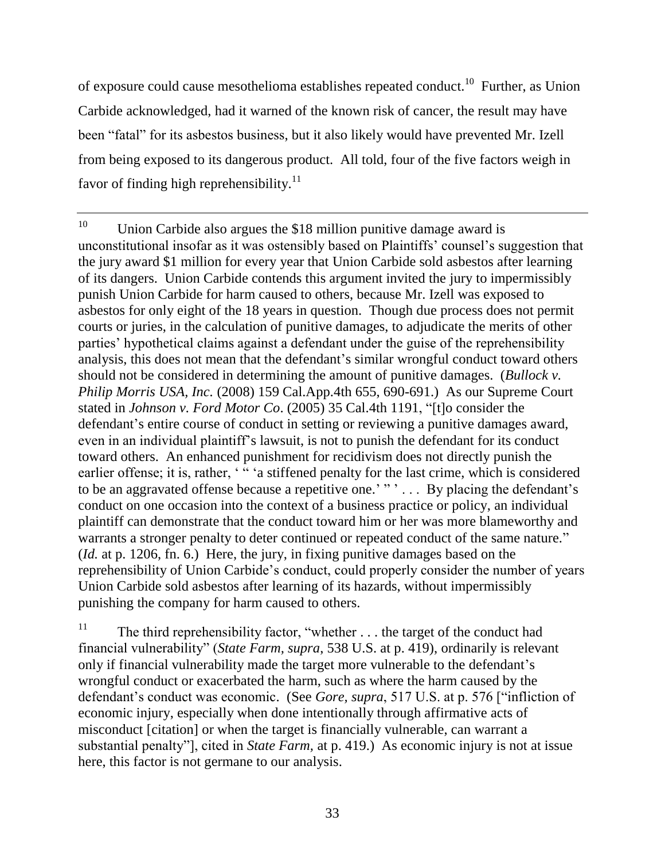of exposure could cause mesothelioma establishes repeated conduct.<sup>10</sup> Further, as Union Carbide acknowledged, had it warned of the known risk of cancer, the result may have been "fatal" for its asbestos business, but it also likely would have prevented Mr. Izell from being exposed to its dangerous product. All told, four of the five factors weigh in favor of finding high reprehensibility. $^{11}$ 

<sup>10</sup> Union Carbide also argues the \$18 million punitive damage award is unconstitutional insofar as it was ostensibly based on Plaintiffs' counsel's suggestion that the jury award \$1 million for every year that Union Carbide sold asbestos after learning of its dangers. Union Carbide contends this argument invited the jury to impermissibly punish Union Carbide for harm caused to others, because Mr. Izell was exposed to asbestos for only eight of the 18 years in question. Though due process does not permit courts or juries, in the calculation of punitive damages, to adjudicate the merits of other parties' hypothetical claims against a defendant under the guise of the reprehensibility analysis, this does not mean that the defendant's similar wrongful conduct toward others should not be considered in determining the amount of punitive damages. (*Bullock v. Philip Morris USA, Inc.* (2008) 159 Cal.App.4th 655, 690-691.) As our Supreme Court stated in *Johnson v. Ford Motor Co*. (2005) 35 Cal.4th 1191, "[t]o consider the defendant's entire course of conduct in setting or reviewing a punitive damages award, even in an individual plaintiff's lawsuit, is not to punish the defendant for its conduct toward others. An enhanced punishment for recidivism does not directly punish the earlier offense; it is, rather, '" a stiffened penalty for the last crime, which is considered to be an aggravated offense because a repetitive one.'"'... By placing the defendant's conduct on one occasion into the context of a business practice or policy, an individual plaintiff can demonstrate that the conduct toward him or her was more blameworthy and warrants a stronger penalty to deter continued or repeated conduct of the same nature." (*Id.* at p. 1206, fn. 6.) Here, the jury, in fixing punitive damages based on the reprehensibility of Union Carbide's conduct, could properly consider the number of years Union Carbide sold asbestos after learning of its hazards, without impermissibly punishing the company for harm caused to others.

<sup>11</sup> The third reprehensibility factor, "whether . . . the target of the conduct had financial vulnerability" (*State Farm, supra*, 538 U.S. at p. 419), ordinarily is relevant only if financial vulnerability made the target more vulnerable to the defendant's wrongful conduct or exacerbated the harm, such as where the harm caused by the defendant's conduct was economic. (See *Gore, supra*, 517 U.S. at p. 576 ["infliction of economic injury, especially when done intentionally through affirmative acts of misconduct [citation] or when the target is financially vulnerable, can warrant a substantial penalty"], cited in *State Farm,* at p. 419.) As economic injury is not at issue here, this factor is not germane to our analysis.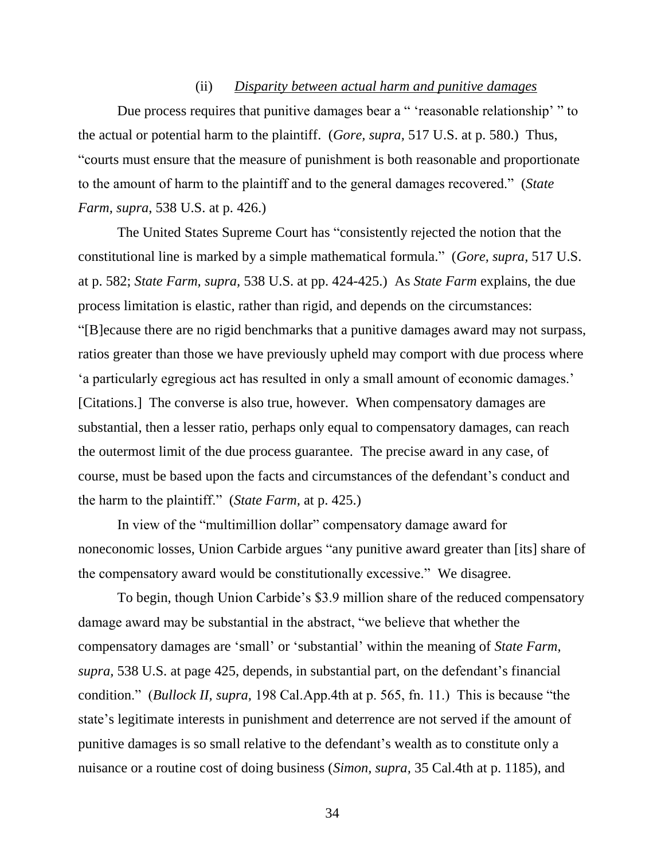## (ii) *Disparity between actual harm and punitive damages*

Due process requires that punitive damages bear a " 'reasonable relationship' " to the actual or potential harm to the plaintiff. (*Gore, supra,* 517 U.S. at p. 580.) Thus, "courts must ensure that the measure of punishment is both reasonable and proportionate to the amount of harm to the plaintiff and to the general damages recovered." (*State Farm, supra*, 538 U.S. at p. 426.)

The United States Supreme Court has "consistently rejected the notion that the constitutional line is marked by a simple mathematical formula." (*Gore, supra,* 517 U.S. at p. 582; *State Farm, supra,* 538 U.S. at pp. 424-425.) As *State Farm* explains, the due process limitation is elastic, rather than rigid, and depends on the circumstances: "[B]ecause there are no rigid benchmarks that a punitive damages award may not surpass, ratios greater than those we have previously upheld may comport with due process where 'a particularly egregious act has resulted in only a small amount of economic damages.' [Citations.] The converse is also true, however. When compensatory damages are substantial, then a lesser ratio, perhaps only equal to compensatory damages, can reach the outermost limit of the due process guarantee. The precise award in any case, of course, must be based upon the facts and circumstances of the defendant's conduct and the harm to the plaintiff." (*State Farm,* at p. 425.)

In view of the "multimillion dollar" compensatory damage award for noneconomic losses, Union Carbide argues "any punitive award greater than [its] share of the compensatory award would be constitutionally excessive." We disagree.

To begin, though Union Carbide's \$3.9 million share of the reduced compensatory damage award may be substantial in the abstract, "we believe that whether the compensatory damages are 'small' or 'substantial' within the meaning of *State Farm, supra,* 538 U.S. at page 425, depends, in substantial part, on the defendant's financial condition." (*Bullock II, supra,* 198 Cal.App.4th at p. 565, fn. 11.) This is because "the state's legitimate interests in punishment and deterrence are not served if the amount of punitive damages is so small relative to the defendant's wealth as to constitute only a nuisance or a routine cost of doing business (*Simon, supra,* 35 Cal.4th at p. 1185), and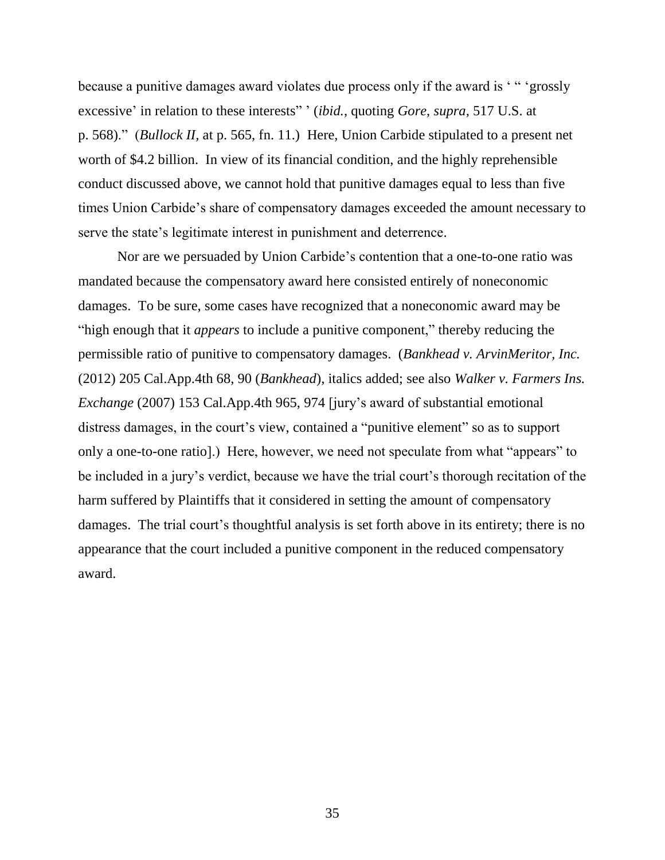because a punitive damages award violates due process only if the award is ' " 'grossly excessive' in relation to these interests" ' (*ibid.*, quoting *Gore, supra,* 517 U.S. at p. 568)." (*Bullock II,* at p. 565, fn. 11.) Here, Union Carbide stipulated to a present net worth of \$4.2 billion. In view of its financial condition, and the highly reprehensible conduct discussed above, we cannot hold that punitive damages equal to less than five times Union Carbide's share of compensatory damages exceeded the amount necessary to serve the state's legitimate interest in punishment and deterrence.

Nor are we persuaded by Union Carbide's contention that a one-to-one ratio was mandated because the compensatory award here consisted entirely of noneconomic damages. To be sure, some cases have recognized that a noneconomic award may be "high enough that it *appears* to include a punitive component," thereby reducing the permissible ratio of punitive to compensatory damages. (*Bankhead v. ArvinMeritor, Inc.* (2012) 205 Cal.App.4th 68, 90 (*Bankhead*), italics added; see also *Walker v. Farmers Ins. Exchange* (2007) 153 Cal.App.4th 965, 974 [jury's award of substantial emotional distress damages, in the court's view, contained a "punitive element" so as to support only a one-to-one ratio].) Here, however, we need not speculate from what "appears" to be included in a jury's verdict, because we have the trial court's thorough recitation of the harm suffered by Plaintiffs that it considered in setting the amount of compensatory damages. The trial court's thoughtful analysis is set forth above in its entirety; there is no appearance that the court included a punitive component in the reduced compensatory award.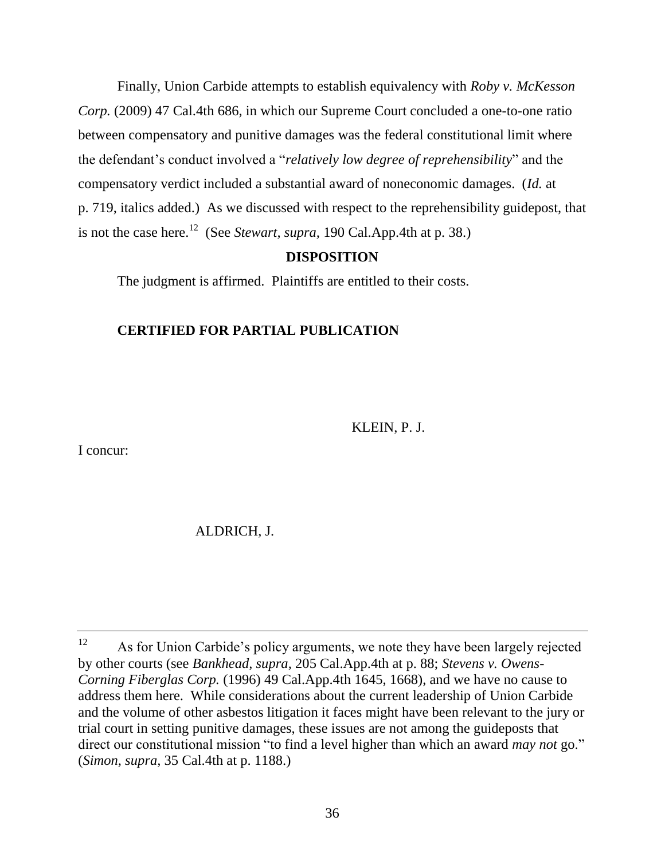Finally, Union Carbide attempts to establish equivalency with *Roby v. McKesson Corp.* (2009) 47 Cal.4th 686, in which our Supreme Court concluded a one-to-one ratio between compensatory and punitive damages was the federal constitutional limit where the defendant's conduct involved a "*relatively low degree of reprehensibility*" and the compensatory verdict included a substantial award of noneconomic damages. (*Id.* at p. 719, italics added.) As we discussed with respect to the reprehensibility guidepost, that is not the case here.<sup>12</sup> (See *Stewart, supra,* 190 Cal.App.4th at p. 38.)

## **DISPOSITION**

The judgment is affirmed. Plaintiffs are entitled to their costs.

## **CERTIFIED FOR PARTIAL PUBLICATION**

KLEIN, P. J.

I concur:

ALDRICH, J.

<sup>&</sup>lt;sup>12</sup> As for Union Carbide's policy arguments, we note they have been largely rejected by other courts (see *Bankhead, supra,* 205 Cal.App.4th at p. 88; *Stevens v. Owens-Corning Fiberglas Corp.* (1996) 49 Cal.App.4th 1645, 1668), and we have no cause to address them here. While considerations about the current leadership of Union Carbide and the volume of other asbestos litigation it faces might have been relevant to the jury or trial court in setting punitive damages, these issues are not among the guideposts that direct our constitutional mission "to find a level higher than which an award *may not* go." (*Simon, supra,* 35 Cal.4th at p. 1188.)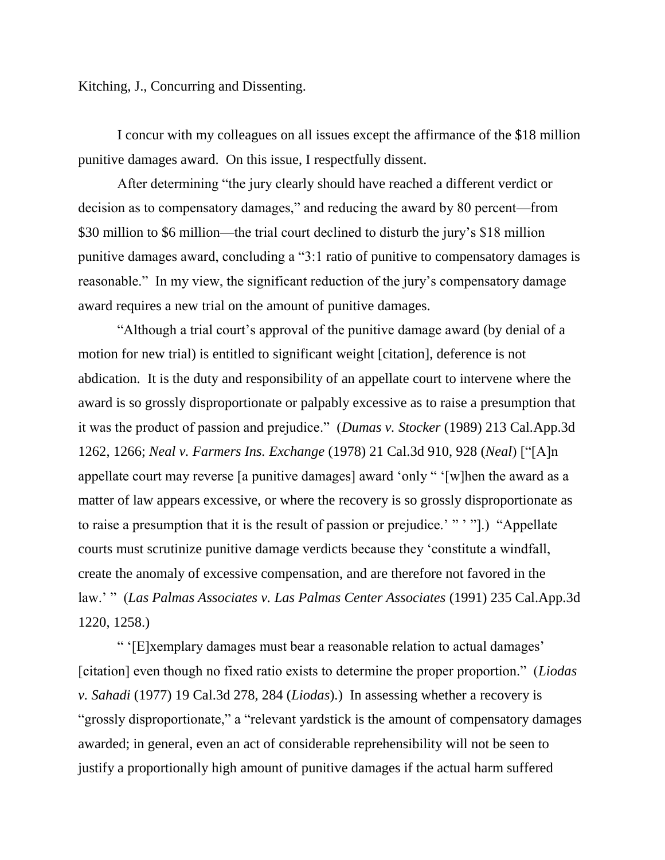Kitching, J., Concurring and Dissenting.

I concur with my colleagues on all issues except the affirmance of the \$18 million punitive damages award. On this issue, I respectfully dissent.

After determining "the jury clearly should have reached a different verdict or decision as to compensatory damages," and reducing the award by 80 percent—from \$30 million to \$6 million—the trial court declined to disturb the jury's \$18 million punitive damages award, concluding a "3:1 ratio of punitive to compensatory damages is reasonable." In my view, the significant reduction of the jury's compensatory damage award requires a new trial on the amount of punitive damages.

"Although a trial court's approval of the punitive damage award (by denial of a motion for new trial) is entitled to significant weight [citation], deference is not abdication. It is the duty and responsibility of an appellate court to intervene where the award is so grossly disproportionate or palpably excessive as to raise a presumption that it was the product of passion and prejudice." (*Dumas v. Stocker* (1989) 213 Cal.App.3d 1262, 1266; *Neal v. Farmers Ins. Exchange* (1978) 21 Cal.3d 910, 928 (*Neal*) ["[A]n appellate court may reverse [a punitive damages] award 'only " '[w]hen the award as a matter of law appears excessive, or where the recovery is so grossly disproportionate as to raise a presumption that it is the result of passion or prejudice.'" "".) "Appellate courts must scrutinize punitive damage verdicts because they 'constitute a windfall, create the anomaly of excessive compensation, and are therefore not favored in the law.' " (*Las Palmas Associates v. Las Palmas Center Associates* (1991) 235 Cal.App.3d 1220, 1258.)

" '[E]xemplary damages must bear a reasonable relation to actual damages' [citation] even though no fixed ratio exists to determine the proper proportion." (*Liodas v. Sahadi* (1977) 19 Cal.3d 278, 284 (*Liodas*).) In assessing whether a recovery is "grossly disproportionate," a "relevant yardstick is the amount of compensatory damages awarded; in general, even an act of considerable reprehensibility will not be seen to justify a proportionally high amount of punitive damages if the actual harm suffered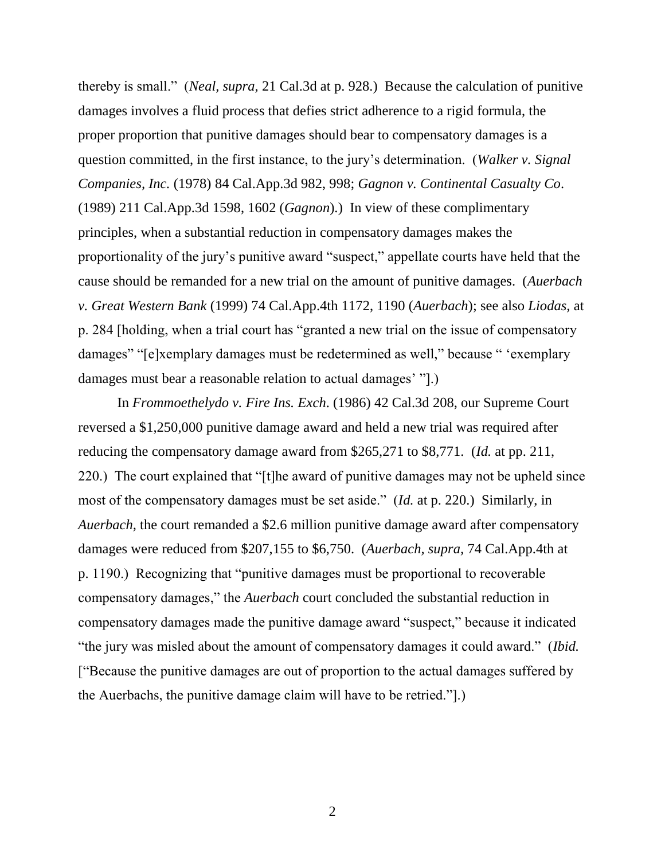thereby is small." (*Neal, supra,* 21 Cal.3d at p. 928.) Because the calculation of punitive damages involves a fluid process that defies strict adherence to a rigid formula, the proper proportion that punitive damages should bear to compensatory damages is a question committed, in the first instance, to the jury's determination. (*Walker v. Signal Companies, Inc.* (1978) 84 Cal.App.3d 982, 998; *Gagnon v. Continental Casualty Co*. (1989) 211 Cal.App.3d 1598, 1602 (*Gagnon*).) In view of these complimentary principles, when a substantial reduction in compensatory damages makes the proportionality of the jury's punitive award "suspect," appellate courts have held that the cause should be remanded for a new trial on the amount of punitive damages. (*Auerbach v. Great Western Bank* (1999) 74 Cal.App.4th 1172, 1190 (*Auerbach*); see also *Liodas,* at p. 284 [holding, when a trial court has "granted a new trial on the issue of compensatory damages" "[e]xemplary damages must be redetermined as well," because " 'exemplary damages must bear a reasonable relation to actual damages' "].)

In *Frommoethelydo v. Fire Ins. Exch*. (1986) 42 Cal.3d 208, our Supreme Court reversed a \$1,250,000 punitive damage award and held a new trial was required after reducing the compensatory damage award from \$265,271 to \$8,771. (*Id.* at pp. 211, 220.) The court explained that "[t]he award of punitive damages may not be upheld since most of the compensatory damages must be set aside." (*Id.* at p. 220.) Similarly, in *Auerbach,* the court remanded a \$2.6 million punitive damage award after compensatory damages were reduced from \$207,155 to \$6,750. (*Auerbach, supra,* 74 Cal.App.4th at p. 1190.) Recognizing that "punitive damages must be proportional to recoverable compensatory damages," the *Auerbach* court concluded the substantial reduction in compensatory damages made the punitive damage award "suspect," because it indicated "the jury was misled about the amount of compensatory damages it could award." (*Ibid.*  ["Because the punitive damages are out of proportion to the actual damages suffered by the Auerbachs, the punitive damage claim will have to be retried."].)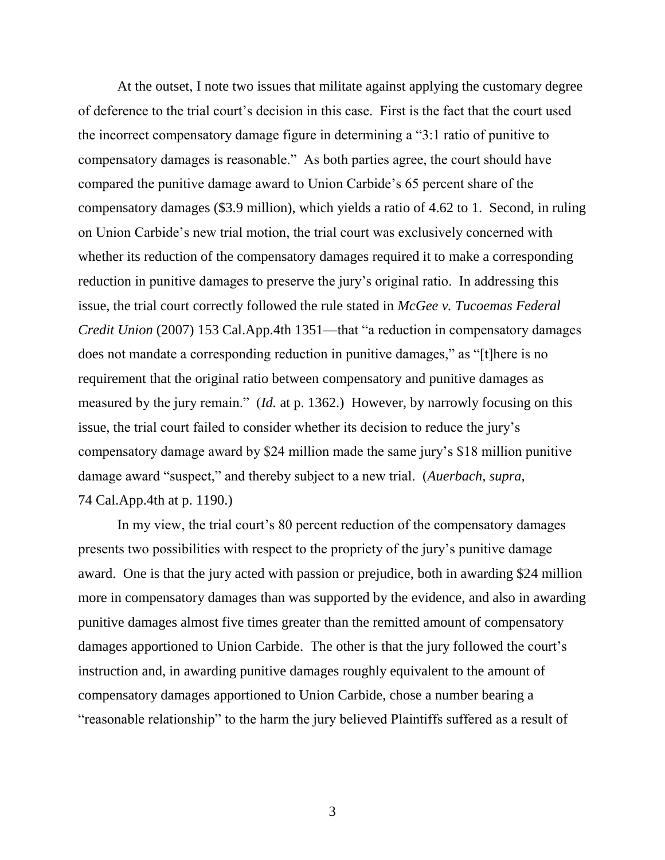At the outset, I note two issues that militate against applying the customary degree of deference to the trial court's decision in this case. First is the fact that the court used the incorrect compensatory damage figure in determining a "3:1 ratio of punitive to compensatory damages is reasonable." As both parties agree, the court should have compared the punitive damage award to Union Carbide's 65 percent share of the compensatory damages (\$3.9 million), which yields a ratio of 4.62 to 1. Second, in ruling on Union Carbide's new trial motion, the trial court was exclusively concerned with whether its reduction of the compensatory damages required it to make a corresponding reduction in punitive damages to preserve the jury's original ratio. In addressing this issue, the trial court correctly followed the rule stated in *McGee v. Tucoemas Federal Credit Union* (2007) 153 Cal.App.4th 1351—that "a reduction in compensatory damages does not mandate a corresponding reduction in punitive damages," as "[t]here is no requirement that the original ratio between compensatory and punitive damages as measured by the jury remain." (*Id.* at p. 1362.) However, by narrowly focusing on this issue, the trial court failed to consider whether its decision to reduce the jury's compensatory damage award by \$24 million made the same jury's \$18 million punitive damage award "suspect," and thereby subject to a new trial. (*Auerbach, supra,*  74 Cal.App.4th at p. 1190.)

In my view, the trial court's 80 percent reduction of the compensatory damages presents two possibilities with respect to the propriety of the jury's punitive damage award. One is that the jury acted with passion or prejudice, both in awarding \$24 million more in compensatory damages than was supported by the evidence, and also in awarding punitive damages almost five times greater than the remitted amount of compensatory damages apportioned to Union Carbide. The other is that the jury followed the court's instruction and, in awarding punitive damages roughly equivalent to the amount of compensatory damages apportioned to Union Carbide, chose a number bearing a "reasonable relationship" to the harm the jury believed Plaintiffs suffered as a result of